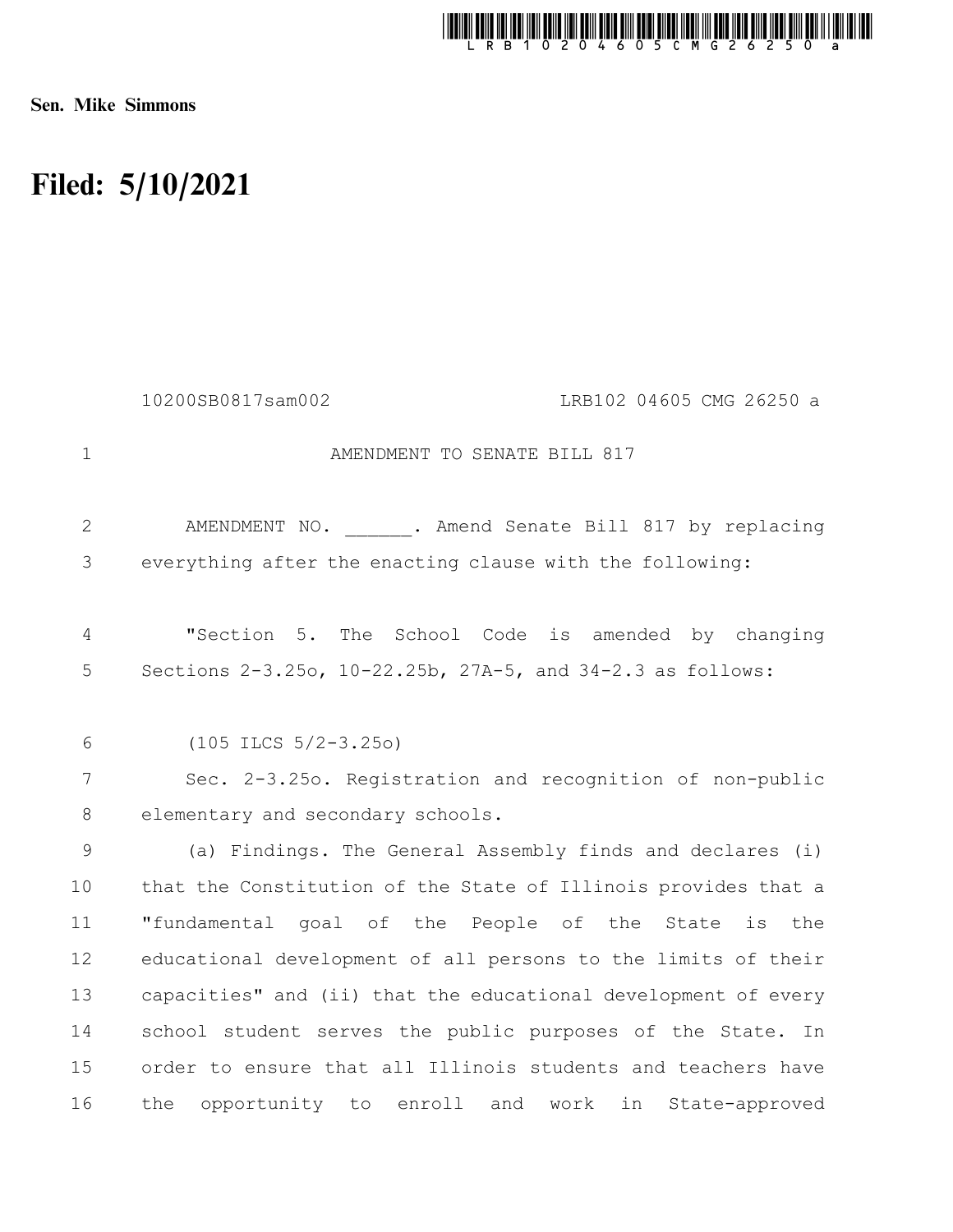

Sen. Mike Simmons

## Filed: 5/10/2021

|                | 10200SB0817sam002<br>LRB102 04605 CMG 26250 a                  |
|----------------|----------------------------------------------------------------|
| $\mathbf 1$    | AMENDMENT TO SENATE BILL 817                                   |
| $\overline{2}$ | AMENDMENT NO. . Amend Senate Bill 817 by replacing             |
| 3              | everything after the enacting clause with the following:       |
| 4              | "Section 5.<br>The School Code is amended by changing          |
| 5              | Sections 2-3.25o, 10-22.25b, 27A-5, and 34-2.3 as follows:     |
|                |                                                                |
| 6              | $(105$ ILCS $5/2-3.250)$                                       |
| 7              | Sec. 2-3.25o. Registration and recognition of non-public       |
| 8              | elementary and secondary schools.                              |
| 9              | (a) Findings. The General Assembly finds and declares (i)      |
| 10             | that the Constitution of the State of Illinois provides that a |
| 11             | "fundamental goal of the People of the State<br>is<br>the      |
| 12             | educational development of all persons to the limits of their  |
| 13             | capacities" and (ii) that the educational development of every |
| 14             | school student serves the public purposes of the State. In     |
| 15             | order to ensure that all Illinois students and teachers have   |
| 16             | opportunity to enroll and work in<br>the<br>State-approved     |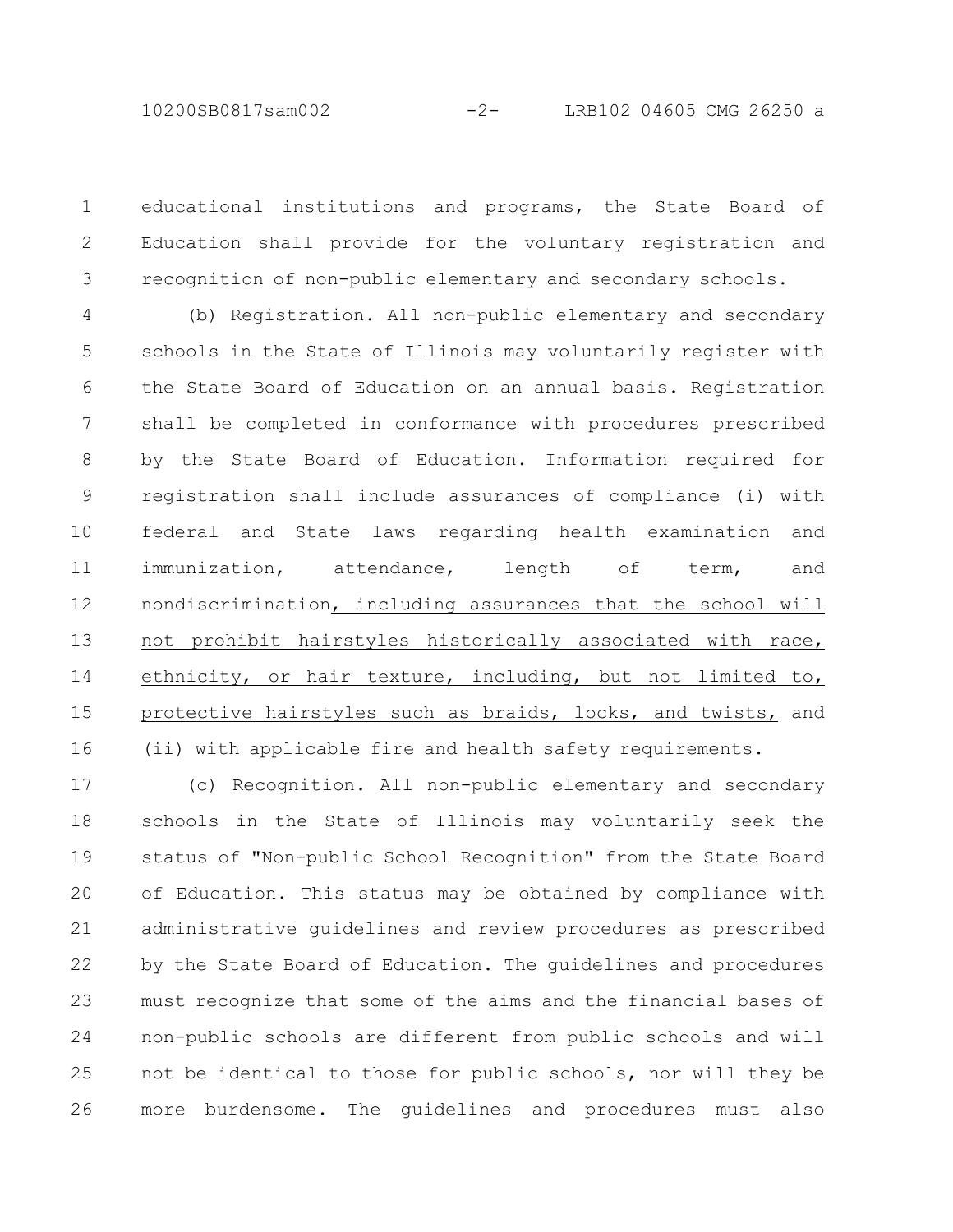educational institutions and programs, the State Board of Education shall provide for the voluntary registration and recognition of non-public elementary and secondary schools. 1 2 3

(b) Registration. All non-public elementary and secondary schools in the State of Illinois may voluntarily register with the State Board of Education on an annual basis. Registration shall be completed in conformance with procedures prescribed by the State Board of Education. Information required for registration shall include assurances of compliance (i) with federal and State laws regarding health examination and immunization, attendance, length of term, and nondiscrimination, including assurances that the school will not prohibit hairstyles historically associated with race, ethnicity, or hair texture, including, but not limited to, protective hairstyles such as braids, locks, and twists, and (ii) with applicable fire and health safety requirements. 4 5 6 7 8 9 10 11 12 13 14 15 16

(c) Recognition. All non-public elementary and secondary schools in the State of Illinois may voluntarily seek the status of "Non-public School Recognition" from the State Board of Education. This status may be obtained by compliance with administrative guidelines and review procedures as prescribed by the State Board of Education. The guidelines and procedures must recognize that some of the aims and the financial bases of non-public schools are different from public schools and will not be identical to those for public schools, nor will they be more burdensome. The guidelines and procedures must also 17 18 19 20 21 22 23 24 25 26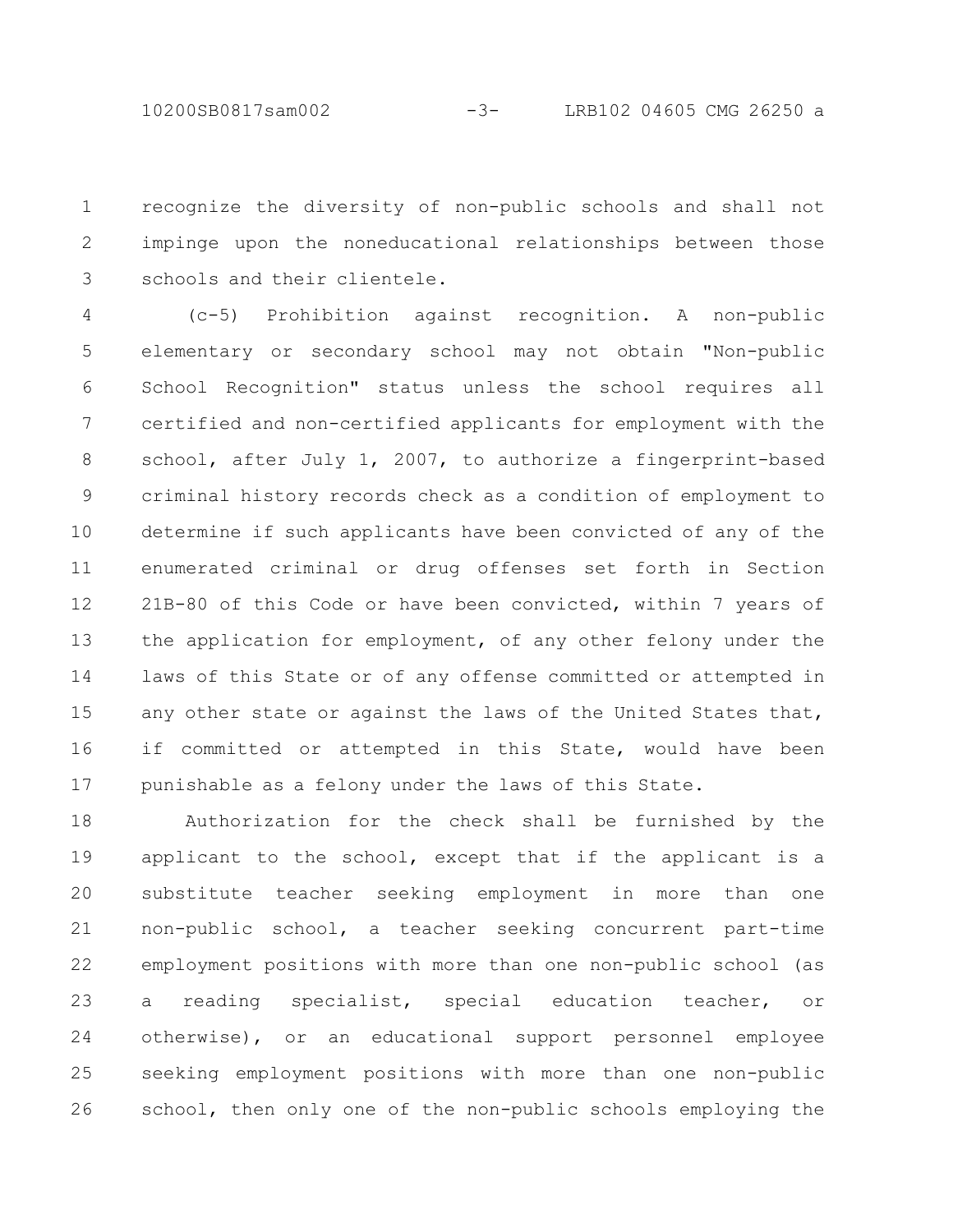recognize the diversity of non-public schools and shall not impinge upon the noneducational relationships between those schools and their clientele. 1 2 3

(c-5) Prohibition against recognition. A non-public elementary or secondary school may not obtain "Non-public School Recognition" status unless the school requires all certified and non-certified applicants for employment with the school, after July 1, 2007, to authorize a fingerprint-based criminal history records check as a condition of employment to determine if such applicants have been convicted of any of the enumerated criminal or drug offenses set forth in Section 21B-80 of this Code or have been convicted, within 7 years of the application for employment, of any other felony under the laws of this State or of any offense committed or attempted in any other state or against the laws of the United States that, if committed or attempted in this State, would have been punishable as a felony under the laws of this State. 4 5 6 7 8 9 10 11 12 13 14 15 16 17

Authorization for the check shall be furnished by the applicant to the school, except that if the applicant is a substitute teacher seeking employment in more than one non-public school, a teacher seeking concurrent part-time employment positions with more than one non-public school (as a reading specialist, special education teacher, or otherwise), or an educational support personnel employee seeking employment positions with more than one non-public school, then only one of the non-public schools employing the 18 19 20 21 22 23 24 25 26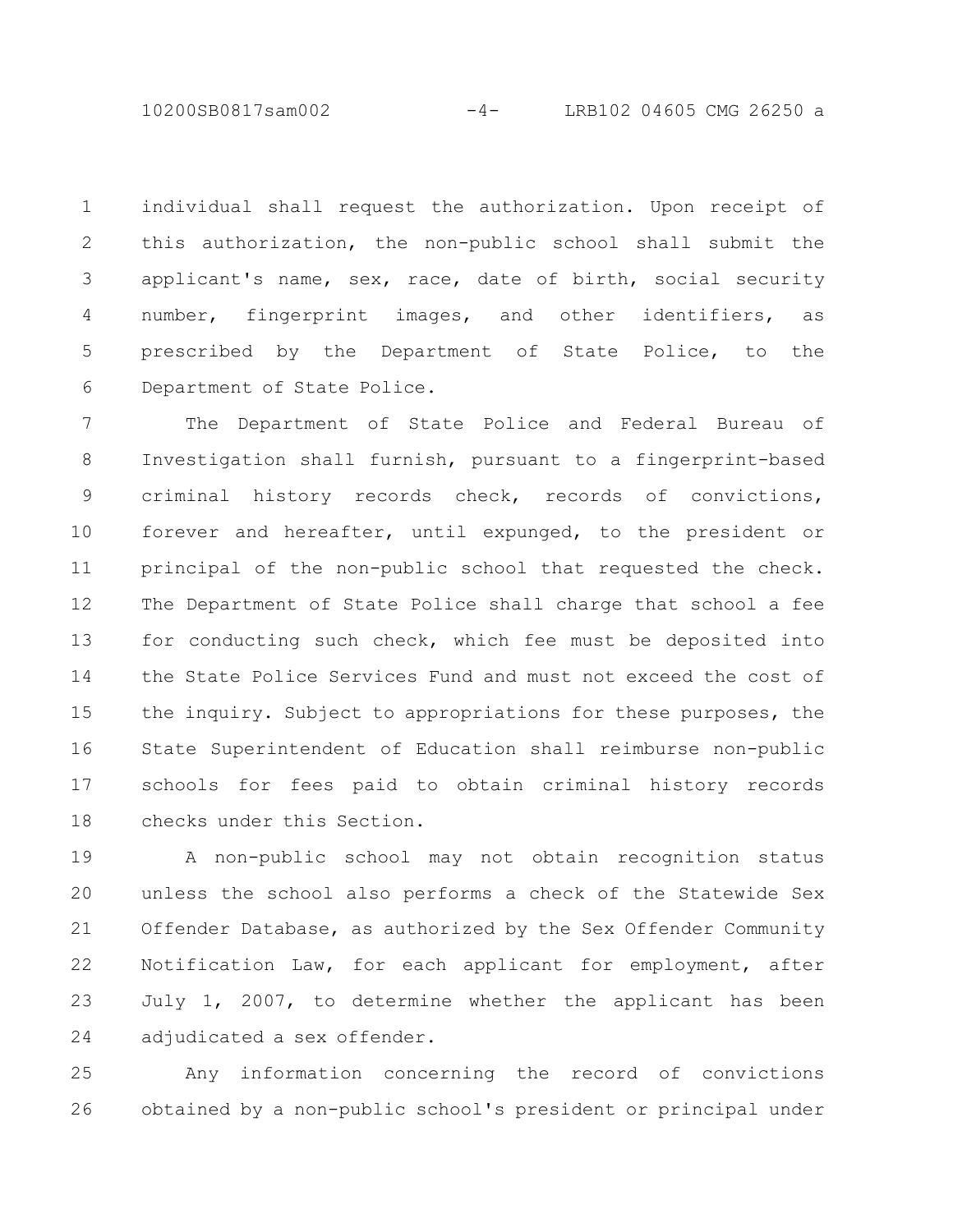10200SB0817sam002 -4- LRB102 04605 CMG 26250 a

individual shall request the authorization. Upon receipt of this authorization, the non-public school shall submit the applicant's name, sex, race, date of birth, social security number, fingerprint images, and other identifiers, as prescribed by the Department of State Police, to the Department of State Police. 1 2 3 4 5 6

The Department of State Police and Federal Bureau of Investigation shall furnish, pursuant to a fingerprint-based criminal history records check, records of convictions, forever and hereafter, until expunged, to the president or principal of the non-public school that requested the check. The Department of State Police shall charge that school a fee for conducting such check, which fee must be deposited into the State Police Services Fund and must not exceed the cost of the inquiry. Subject to appropriations for these purposes, the State Superintendent of Education shall reimburse non-public schools for fees paid to obtain criminal history records checks under this Section. 7 8 9 10 11 12 13 14 15 16 17 18

A non-public school may not obtain recognition status unless the school also performs a check of the Statewide Sex Offender Database, as authorized by the Sex Offender Community Notification Law, for each applicant for employment, after July 1, 2007, to determine whether the applicant has been adjudicated a sex offender. 19 20 21 22 23 24

Any information concerning the record of convictions obtained by a non-public school's president or principal under 25 26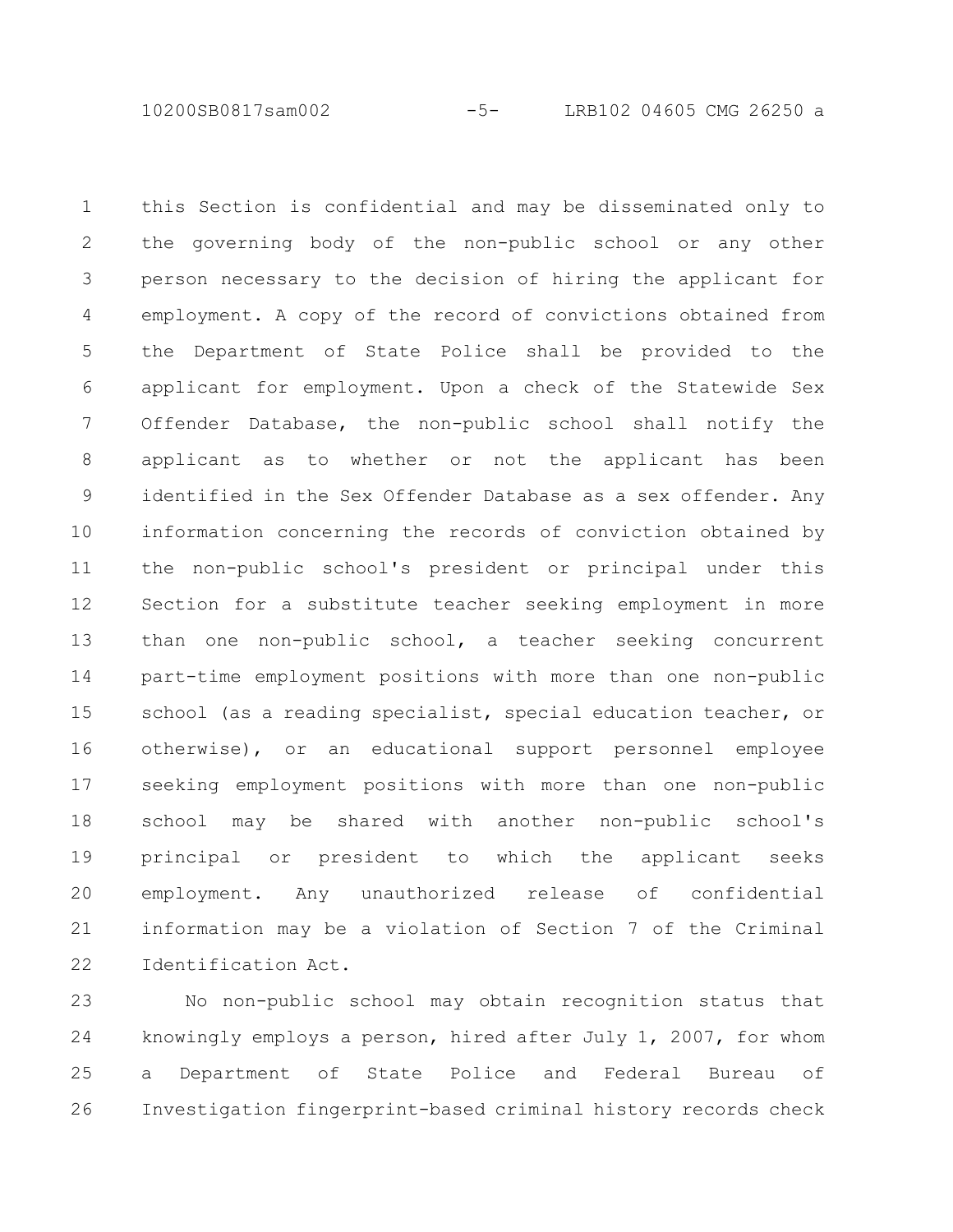10200SB0817sam002 -5- LRB102 04605 CMG 26250 a

this Section is confidential and may be disseminated only to the governing body of the non-public school or any other person necessary to the decision of hiring the applicant for employment. A copy of the record of convictions obtained from the Department of State Police shall be provided to the applicant for employment. Upon a check of the Statewide Sex Offender Database, the non-public school shall notify the applicant as to whether or not the applicant has been identified in the Sex Offender Database as a sex offender. Any information concerning the records of conviction obtained by the non-public school's president or principal under this Section for a substitute teacher seeking employment in more than one non-public school, a teacher seeking concurrent part-time employment positions with more than one non-public school (as a reading specialist, special education teacher, or otherwise), or an educational support personnel employee seeking employment positions with more than one non-public school may be shared with another non-public school's principal or president to which the applicant seeks employment. Any unauthorized release of confidential information may be a violation of Section 7 of the Criminal Identification Act. 1 2 3 4 5 6 7 8 9 10 11 12 13 14 15 16 17 18 19 20 21 22

No non-public school may obtain recognition status that knowingly employs a person, hired after July 1, 2007, for whom a Department of State Police and Federal Bureau of Investigation fingerprint-based criminal history records check 23 24 25 26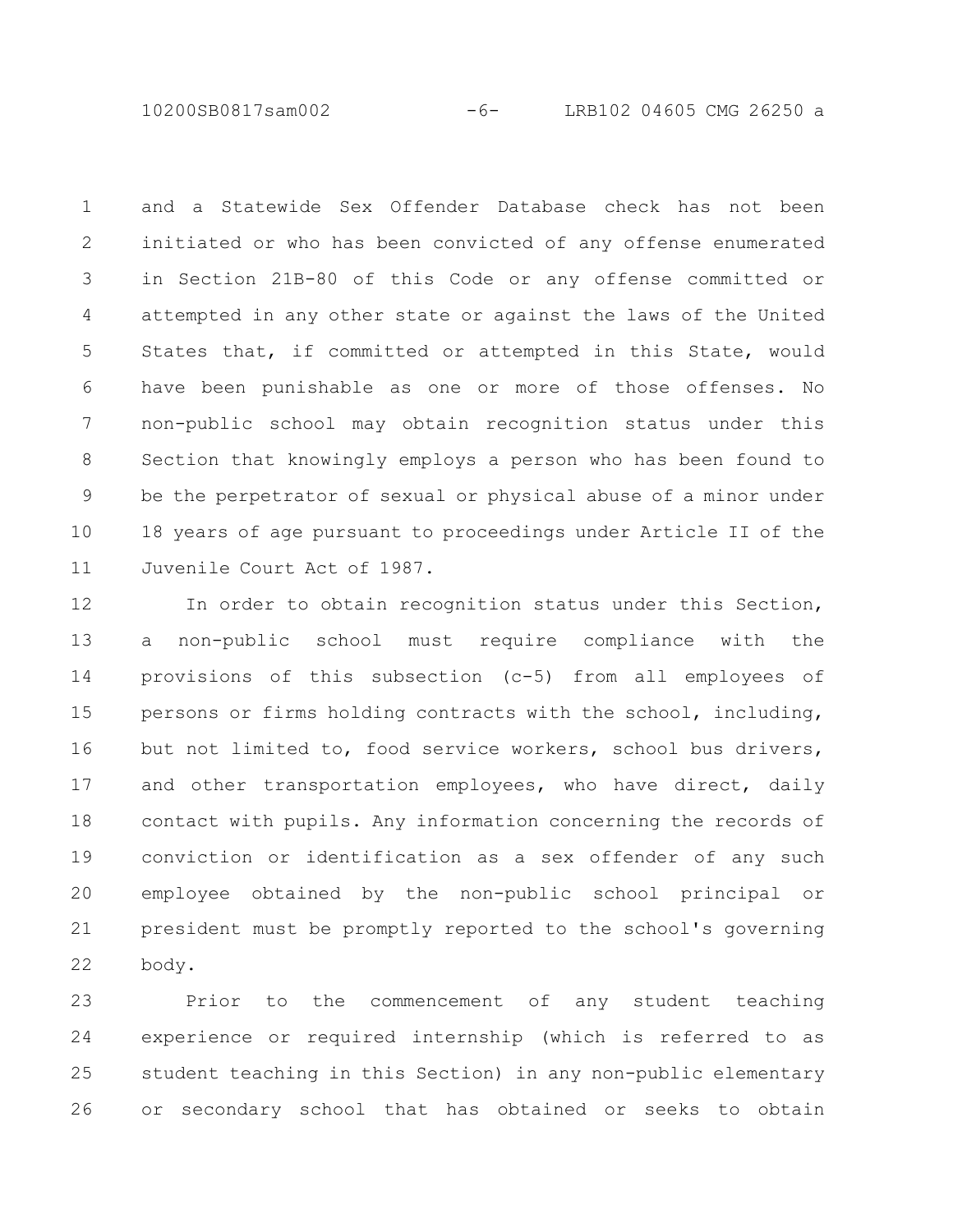10200SB0817sam002 -6- LRB102 04605 CMG 26250 a

and a Statewide Sex Offender Database check has not been initiated or who has been convicted of any offense enumerated in Section 21B-80 of this Code or any offense committed or attempted in any other state or against the laws of the United States that, if committed or attempted in this State, would have been punishable as one or more of those offenses. No non-public school may obtain recognition status under this Section that knowingly employs a person who has been found to be the perpetrator of sexual or physical abuse of a minor under 18 years of age pursuant to proceedings under Article II of the Juvenile Court Act of 1987. 1 2 3 4 5 6 7 8 9 10 11

In order to obtain recognition status under this Section, a non-public school must require compliance with the provisions of this subsection (c-5) from all employees of persons or firms holding contracts with the school, including, but not limited to, food service workers, school bus drivers, and other transportation employees, who have direct, daily contact with pupils. Any information concerning the records of conviction or identification as a sex offender of any such employee obtained by the non-public school principal or president must be promptly reported to the school's governing body. 12 13 14 15 16 17 18 19 20 21 22

Prior to the commencement of any student teaching experience or required internship (which is referred to as student teaching in this Section) in any non-public elementary or secondary school that has obtained or seeks to obtain 23 24 25 26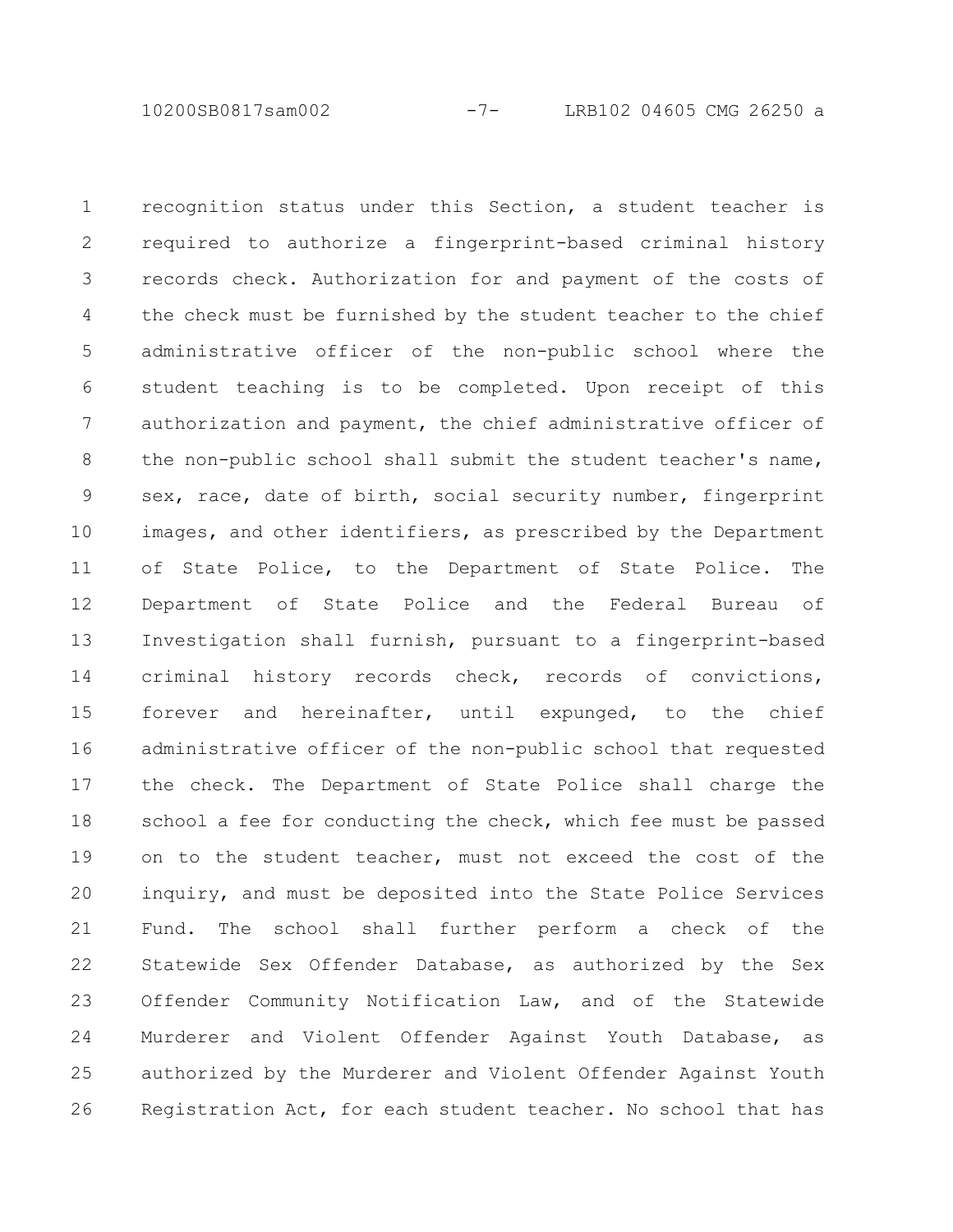10200SB0817sam002 -7- LRB102 04605 CMG 26250 a

recognition status under this Section, a student teacher is required to authorize a fingerprint-based criminal history records check. Authorization for and payment of the costs of the check must be furnished by the student teacher to the chief administrative officer of the non-public school where the student teaching is to be completed. Upon receipt of this authorization and payment, the chief administrative officer of the non-public school shall submit the student teacher's name, sex, race, date of birth, social security number, fingerprint images, and other identifiers, as prescribed by the Department of State Police, to the Department of State Police. The Department of State Police and the Federal Bureau of Investigation shall furnish, pursuant to a fingerprint-based criminal history records check, records of convictions, forever and hereinafter, until expunged, to the chief administrative officer of the non-public school that requested the check. The Department of State Police shall charge the school a fee for conducting the check, which fee must be passed on to the student teacher, must not exceed the cost of the inquiry, and must be deposited into the State Police Services Fund. The school shall further perform a check of the Statewide Sex Offender Database, as authorized by the Sex Offender Community Notification Law, and of the Statewide Murderer and Violent Offender Against Youth Database, as authorized by the Murderer and Violent Offender Against Youth Registration Act, for each student teacher. No school that has 1 2 3 4 5 6 7 8 9 10 11 12 13 14 15 16 17 18 19 20 21 22 23 24 25 26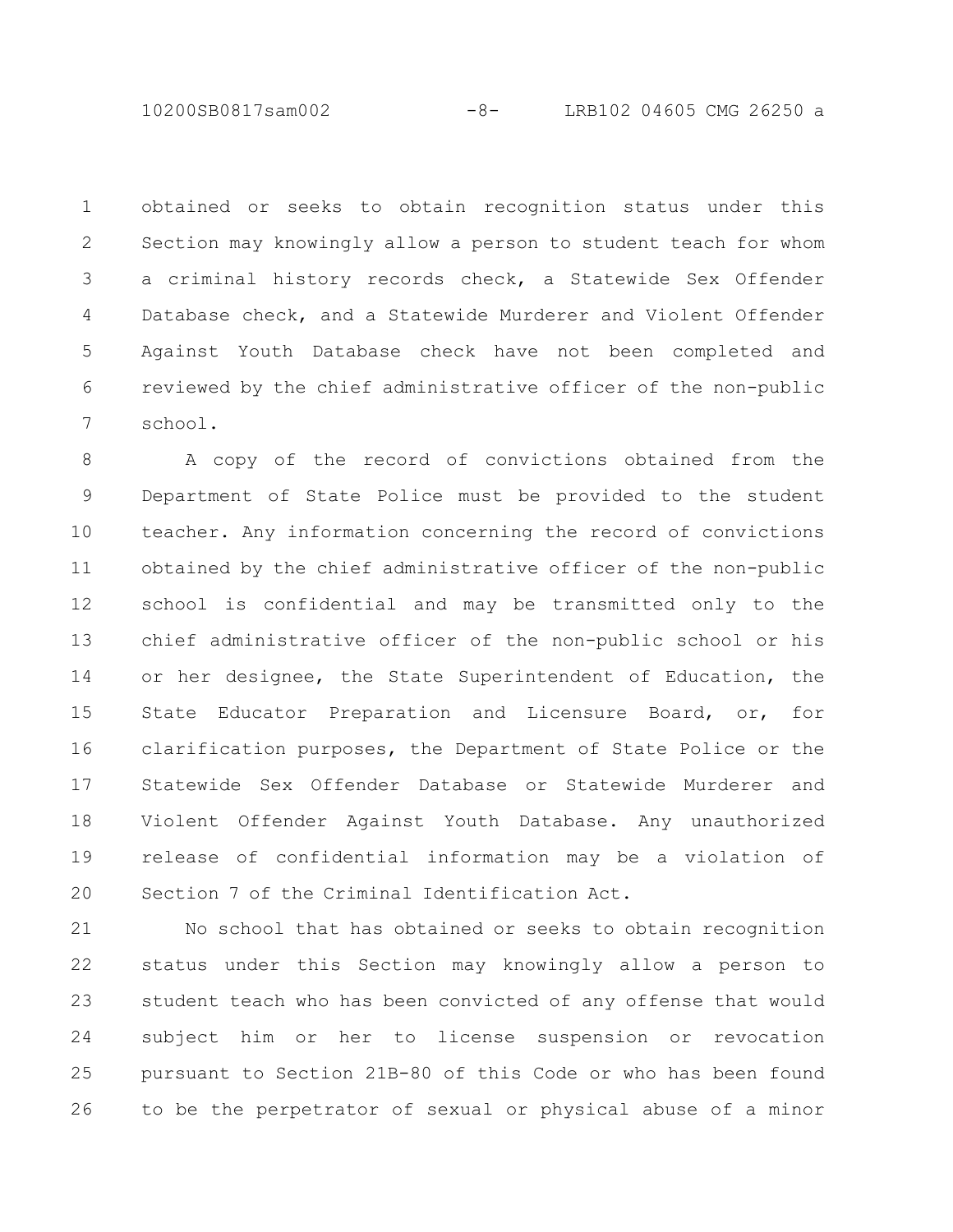10200SB0817sam002 -8- LRB102 04605 CMG 26250 a

obtained or seeks to obtain recognition status under this Section may knowingly allow a person to student teach for whom a criminal history records check, a Statewide Sex Offender Database check, and a Statewide Murderer and Violent Offender Against Youth Database check have not been completed and reviewed by the chief administrative officer of the non-public school. 1 2 3 4 5 6 7

A copy of the record of convictions obtained from the Department of State Police must be provided to the student teacher. Any information concerning the record of convictions obtained by the chief administrative officer of the non-public school is confidential and may be transmitted only to the chief administrative officer of the non-public school or his or her designee, the State Superintendent of Education, the State Educator Preparation and Licensure Board, or, for clarification purposes, the Department of State Police or the Statewide Sex Offender Database or Statewide Murderer and Violent Offender Against Youth Database. Any unauthorized release of confidential information may be a violation of Section 7 of the Criminal Identification Act. 8 9 10 11 12 13 14 15 16 17 18 19 20

No school that has obtained or seeks to obtain recognition status under this Section may knowingly allow a person to student teach who has been convicted of any offense that would subject him or her to license suspension or revocation pursuant to Section 21B-80 of this Code or who has been found to be the perpetrator of sexual or physical abuse of a minor 21 22 23 24 25 26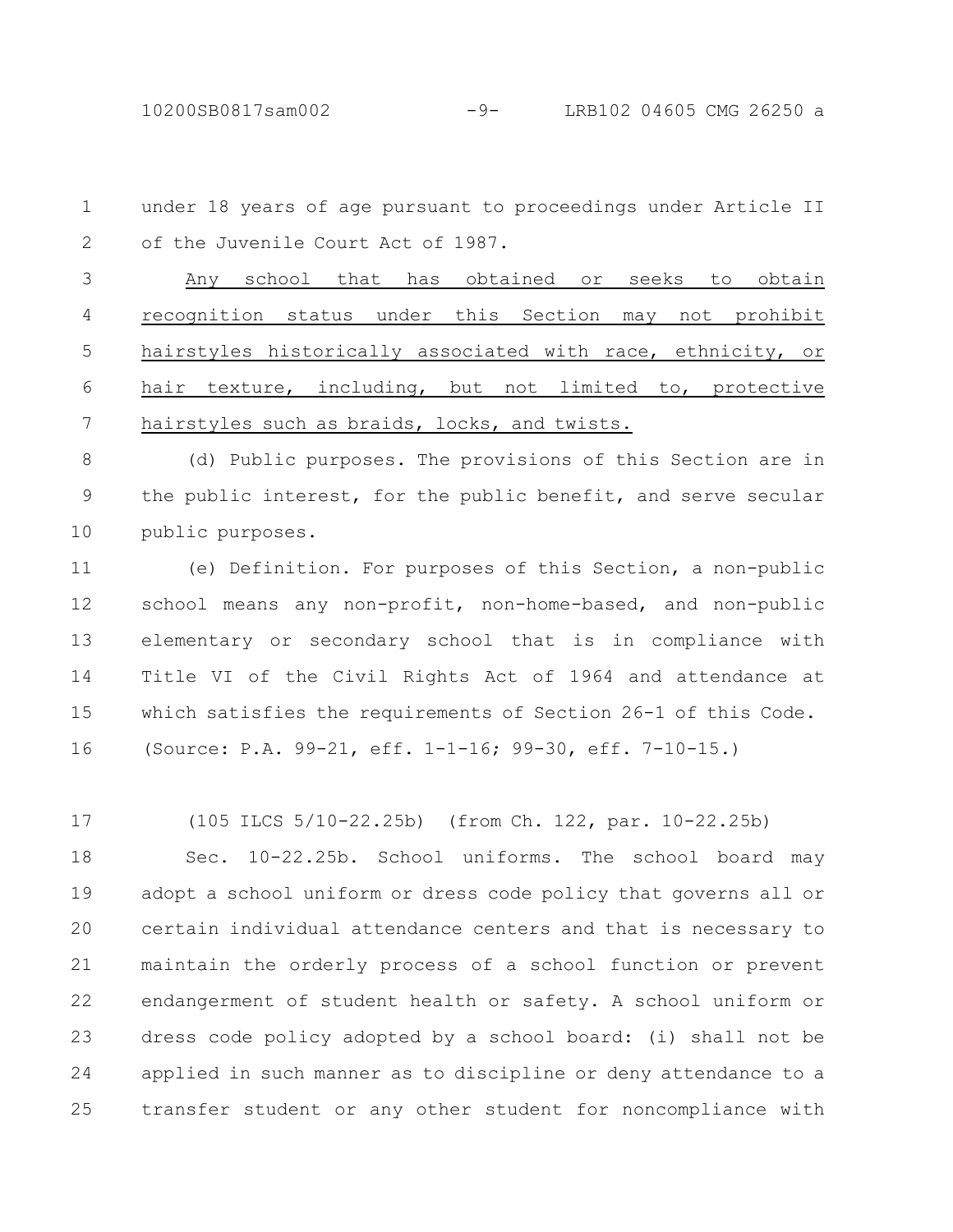10200SB0817sam002 -9- LRB102 04605 CMG 26250 a

under 18 years of age pursuant to proceedings under Article II of the Juvenile Court Act of 1987. 1 2

Any school that has obtained or seeks to obtain recognition status under this Section may not prohibit hairstyles historically associated with race, ethnicity, or hair texture, including, but not limited to, protective hairstyles such as braids, locks, and twists. 3 4 5 6 7

(d) Public purposes. The provisions of this Section are in the public interest, for the public benefit, and serve secular public purposes. 8 9 10

(e) Definition. For purposes of this Section, a non-public school means any non-profit, non-home-based, and non-public elementary or secondary school that is in compliance with Title VI of the Civil Rights Act of 1964 and attendance at which satisfies the requirements of Section 26-1 of this Code. (Source: P.A. 99-21, eff. 1-1-16; 99-30, eff. 7-10-15.) 11 12 13 14 15 16

(105 ILCS 5/10-22.25b) (from Ch. 122, par. 10-22.25b) 17

Sec. 10-22.25b. School uniforms. The school board may adopt a school uniform or dress code policy that governs all or certain individual attendance centers and that is necessary to maintain the orderly process of a school function or prevent endangerment of student health or safety. A school uniform or dress code policy adopted by a school board: (i) shall not be applied in such manner as to discipline or deny attendance to a transfer student or any other student for noncompliance with 18 19 20 21 22 23 24 25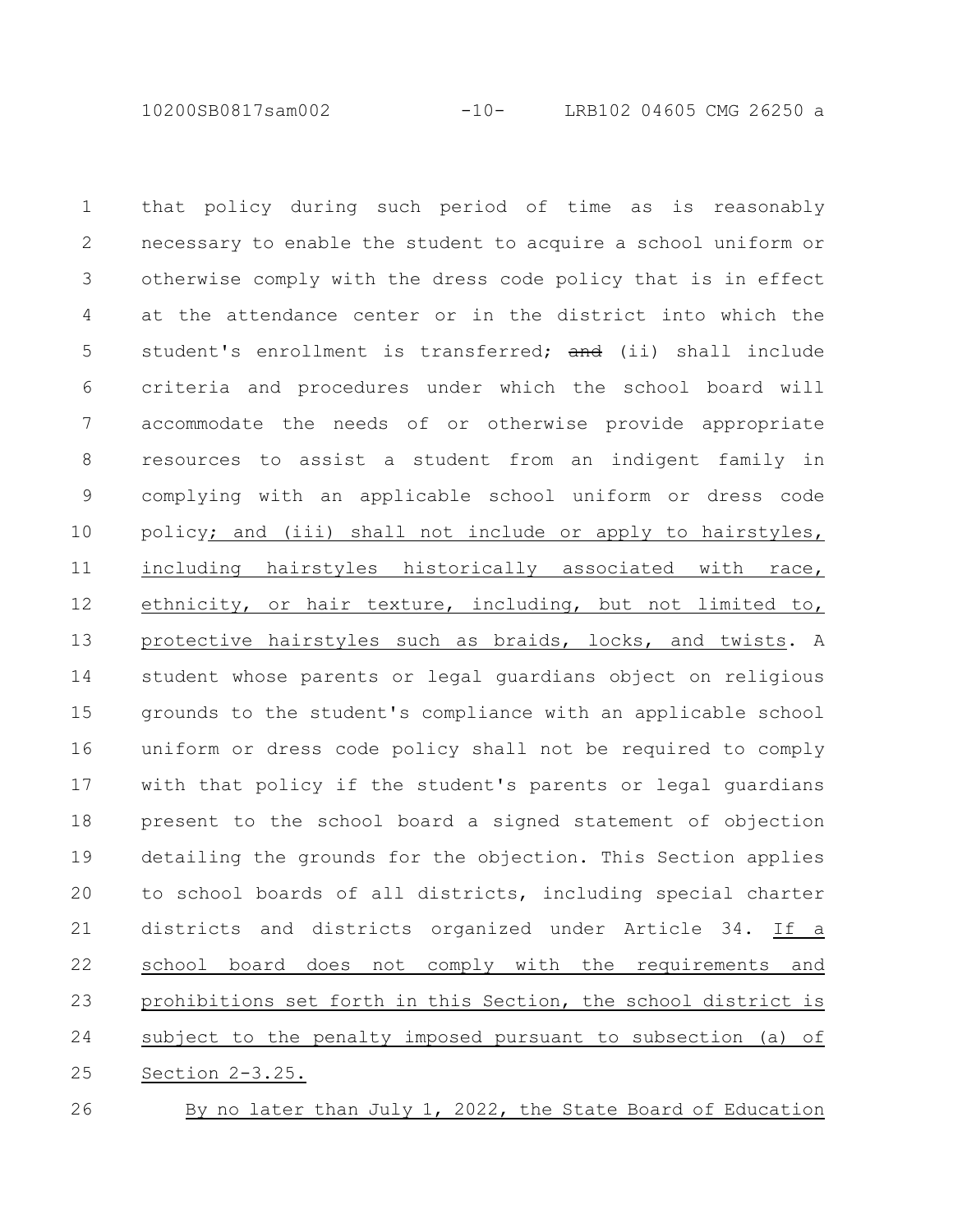10200SB0817sam002 -10- LRB102 04605 CMG 26250 a

that policy during such period of time as is reasonably necessary to enable the student to acquire a school uniform or otherwise comply with the dress code policy that is in effect at the attendance center or in the district into which the student's enrollment is transferred; and (ii) shall include criteria and procedures under which the school board will accommodate the needs of or otherwise provide appropriate resources to assist a student from an indigent family in complying with an applicable school uniform or dress code policy; and (iii) shall not include or apply to hairstyles, including hairstyles historically associated with race, ethnicity, or hair texture, including, but not limited to, protective hairstyles such as braids, locks, and twists. A student whose parents or legal guardians object on religious grounds to the student's compliance with an applicable school uniform or dress code policy shall not be required to comply with that policy if the student's parents or legal guardians present to the school board a signed statement of objection detailing the grounds for the objection. This Section applies to school boards of all districts, including special charter districts and districts organized under Article 34. If a school board does not comply with the requirements and prohibitions set forth in this Section, the school district is subject to the penalty imposed pursuant to subsection (a) of Section 2-3.25. 1 2 3 4 5 6 7 8 9 10 11 12 13 14 15 16 17 18 19 20 21 22 23 24 25

26

By no later than July 1, 2022, the State Board of Education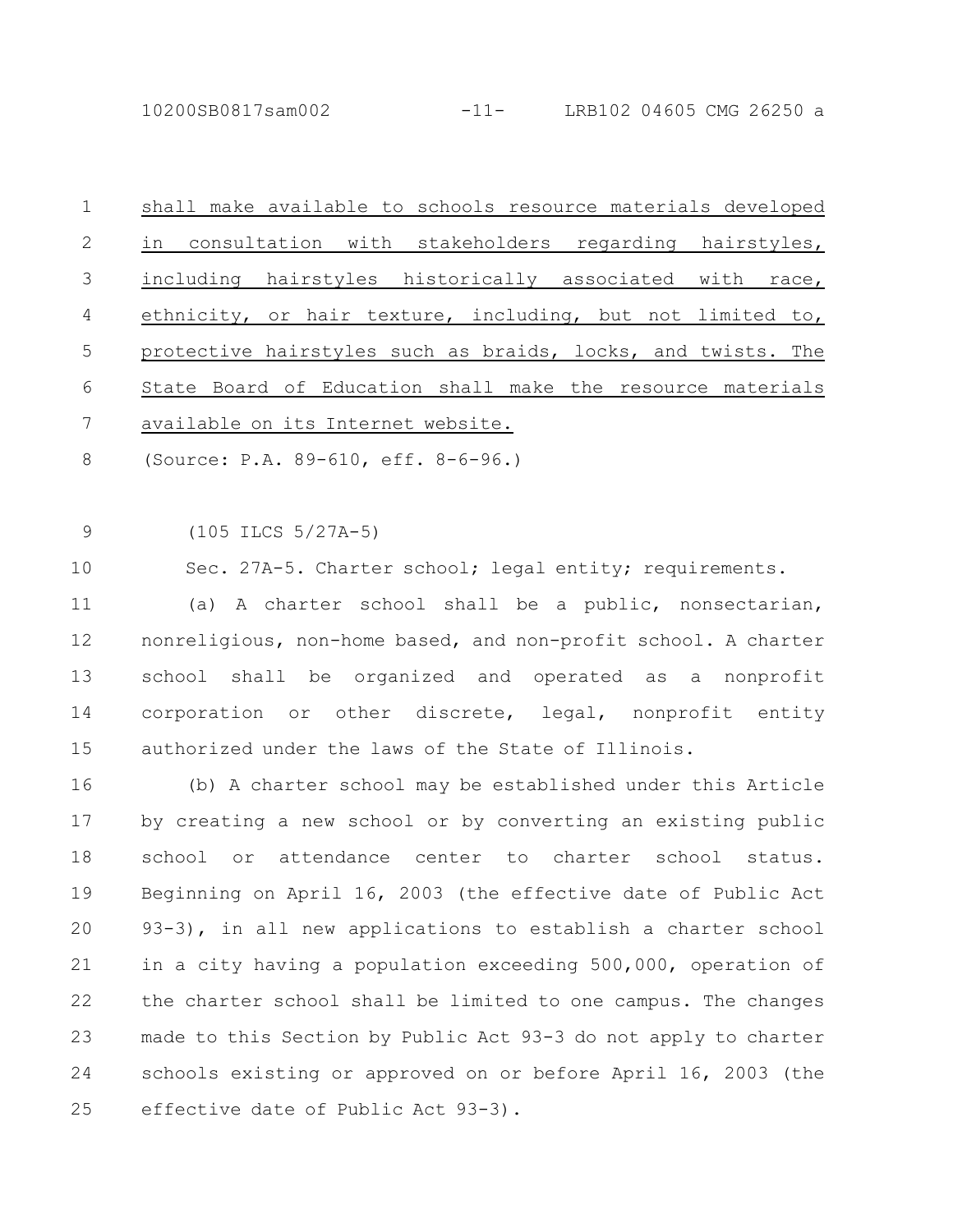| 1              | shall make available to schools resource materials developed |
|----------------|--------------------------------------------------------------|
| 2              | in consultation with stakeholders regarding hairstyles,      |
| 3              | including hairstyles historically associated with race,      |
| $\overline{4}$ | ethnicity, or hair texture, including, but not limited to,   |
| 5              | protective hairstyles such as braids, locks, and twists. The |
| 6              | State Board of Education shall make the resource materials   |
| 7              | available on its Internet website.                           |
|                |                                                              |

(Source: P.A. 89-610, eff. 8-6-96.) 8

(105 ILCS 5/27A-5) 9

Sec. 27A-5. Charter school; legal entity; requirements. 10

(a) A charter school shall be a public, nonsectarian, nonreligious, non-home based, and non-profit school. A charter school shall be organized and operated as a nonprofit corporation or other discrete, legal, nonprofit entity authorized under the laws of the State of Illinois. 11 12 13 14 15

(b) A charter school may be established under this Article by creating a new school or by converting an existing public school or attendance center to charter school status. Beginning on April 16, 2003 (the effective date of Public Act 93-3), in all new applications to establish a charter school in a city having a population exceeding 500,000, operation of the charter school shall be limited to one campus. The changes made to this Section by Public Act 93-3 do not apply to charter schools existing or approved on or before April 16, 2003 (the effective date of Public Act 93-3). 16 17 18 19  $20$ 21 22 23 24 25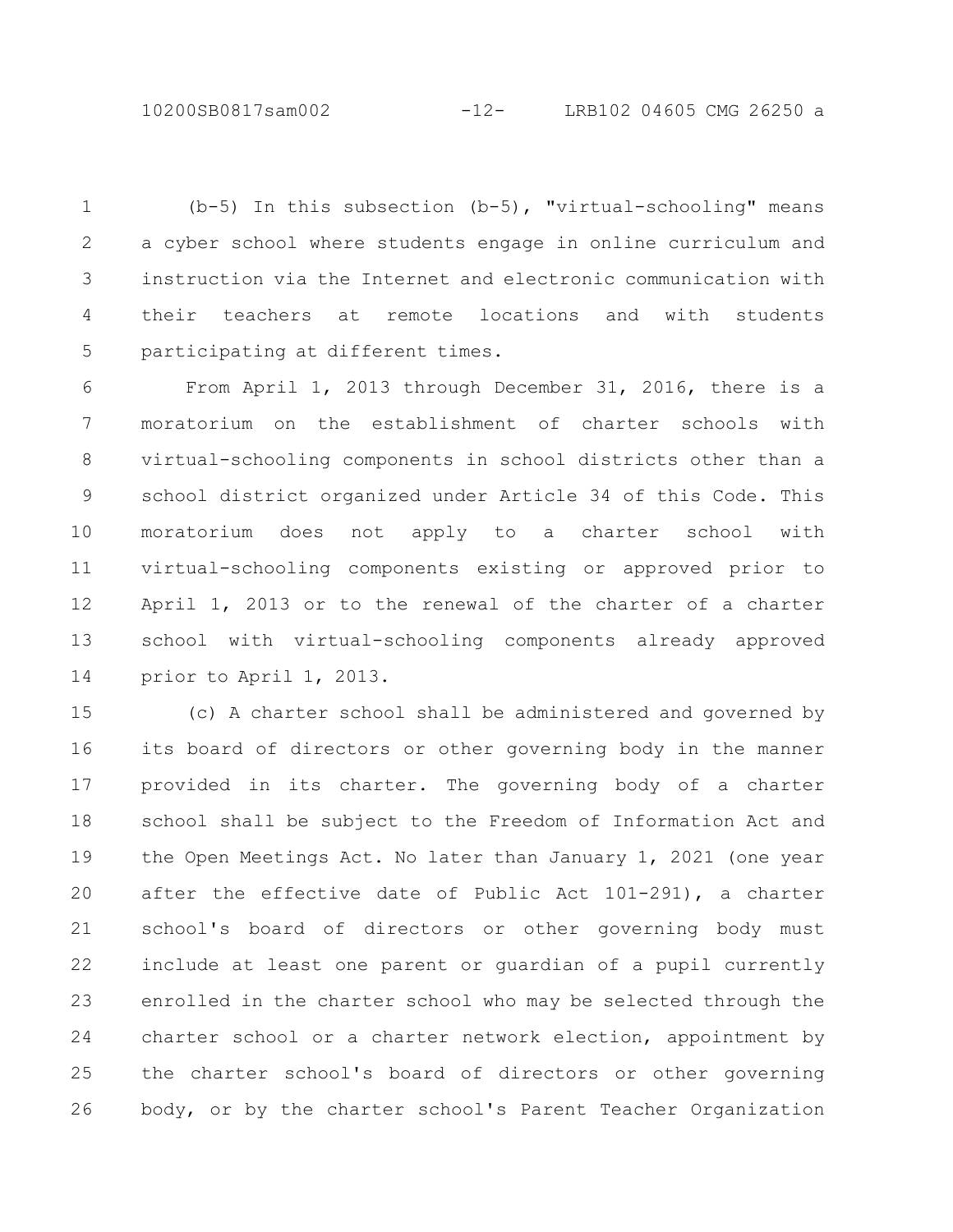10200SB0817sam002 -12- LRB102 04605 CMG 26250 a

(b-5) In this subsection (b-5), "virtual-schooling" means a cyber school where students engage in online curriculum and instruction via the Internet and electronic communication with their teachers at remote locations and with students participating at different times. 1 2 3 4 5

From April 1, 2013 through December 31, 2016, there is a moratorium on the establishment of charter schools with virtual-schooling components in school districts other than a school district organized under Article 34 of this Code. This moratorium does not apply to a charter school with virtual-schooling components existing or approved prior to April 1, 2013 or to the renewal of the charter of a charter school with virtual-schooling components already approved prior to April 1, 2013. 6 7 8 9 10 11 12 13 14

(c) A charter school shall be administered and governed by its board of directors or other governing body in the manner provided in its charter. The governing body of a charter school shall be subject to the Freedom of Information Act and the Open Meetings Act. No later than January 1, 2021 (one year after the effective date of Public Act 101-291), a charter school's board of directors or other governing body must include at least one parent or guardian of a pupil currently enrolled in the charter school who may be selected through the charter school or a charter network election, appointment by the charter school's board of directors or other governing body, or by the charter school's Parent Teacher Organization 15 16 17 18 19 20 21 22 23 24 25 26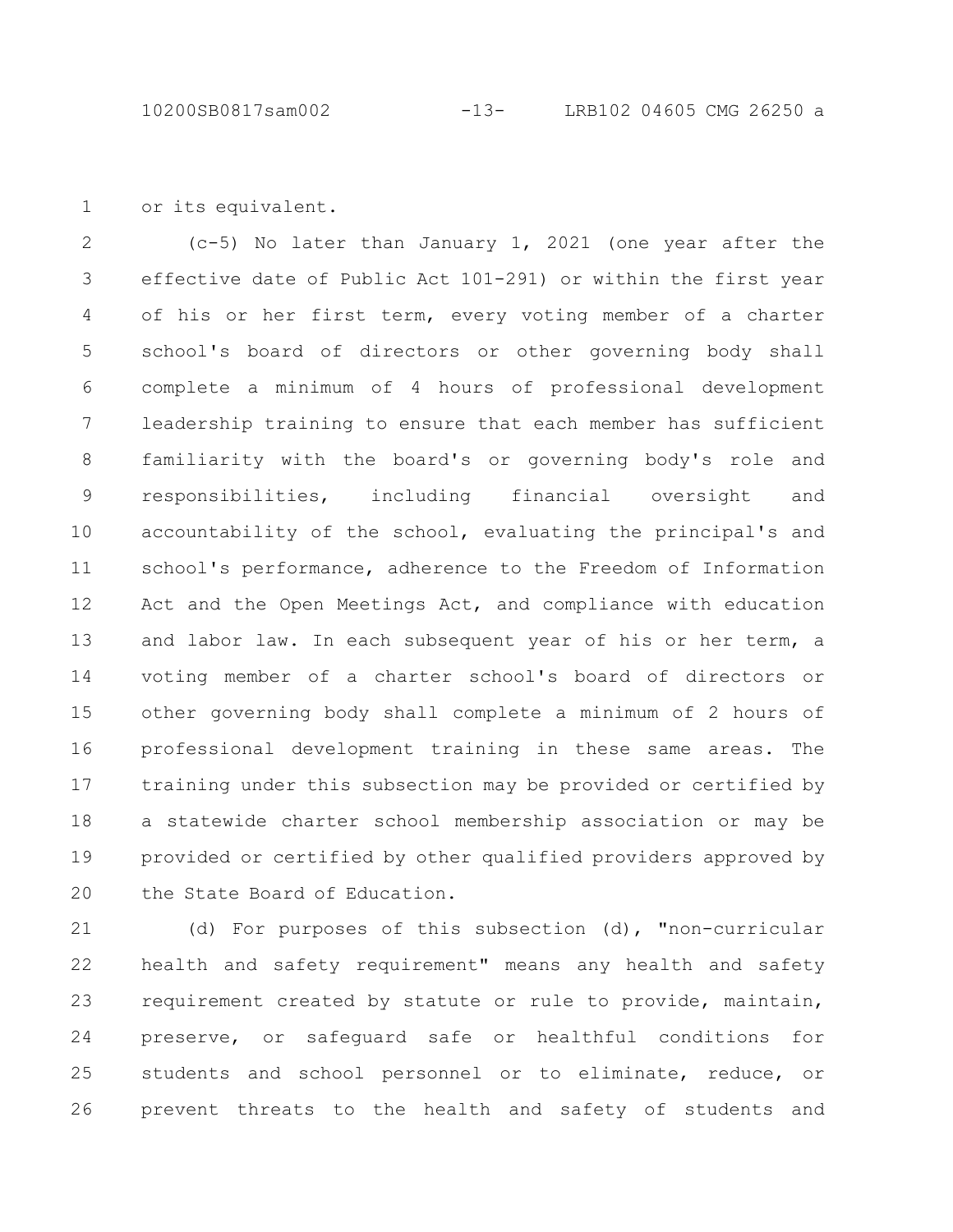or its equivalent. 1

(c-5) No later than January 1, 2021 (one year after the effective date of Public Act 101-291) or within the first year of his or her first term, every voting member of a charter school's board of directors or other governing body shall complete a minimum of 4 hours of professional development leadership training to ensure that each member has sufficient familiarity with the board's or governing body's role and responsibilities, including financial oversight and accountability of the school, evaluating the principal's and school's performance, adherence to the Freedom of Information Act and the Open Meetings Act, and compliance with education and labor law. In each subsequent year of his or her term, a voting member of a charter school's board of directors or other governing body shall complete a minimum of 2 hours of professional development training in these same areas. The training under this subsection may be provided or certified by a statewide charter school membership association or may be provided or certified by other qualified providers approved by the State Board of Education. 2 3 4 5 6 7 8 9 10 11 12 13 14 15 16 17 18 19 20

(d) For purposes of this subsection (d), "non-curricular health and safety requirement" means any health and safety requirement created by statute or rule to provide, maintain, preserve, or safeguard safe or healthful conditions for students and school personnel or to eliminate, reduce, or prevent threats to the health and safety of students and 21 22 23 24 25 26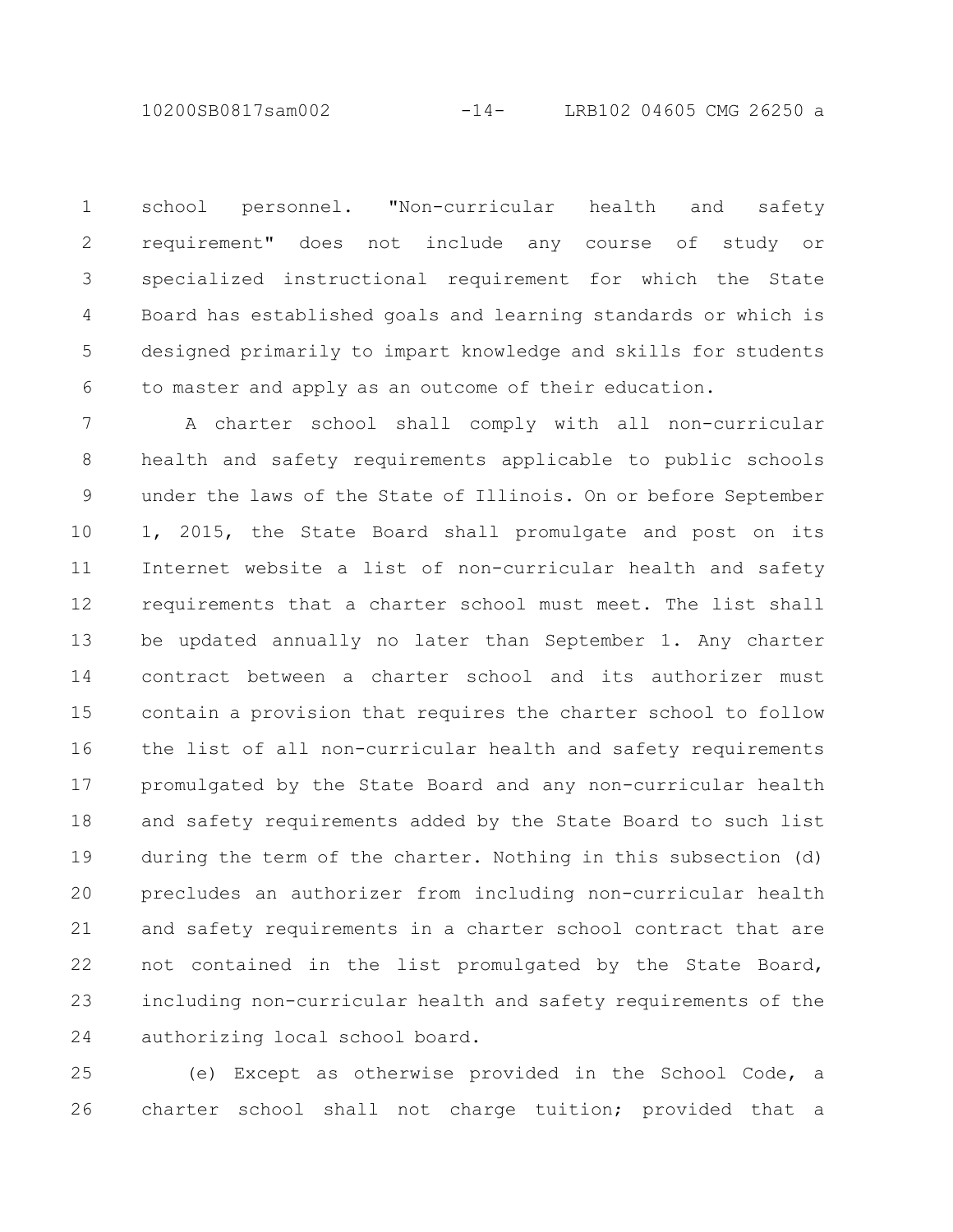10200SB0817sam002 -14- LRB102 04605 CMG 26250 a

school personnel. "Non-curricular health and safety requirement" does not include any course of study or specialized instructional requirement for which the State Board has established goals and learning standards or which is designed primarily to impart knowledge and skills for students to master and apply as an outcome of their education. 1 2 3 4 5 6

A charter school shall comply with all non-curricular health and safety requirements applicable to public schools under the laws of the State of Illinois. On or before September 1, 2015, the State Board shall promulgate and post on its Internet website a list of non-curricular health and safety requirements that a charter school must meet. The list shall be updated annually no later than September 1. Any charter contract between a charter school and its authorizer must contain a provision that requires the charter school to follow the list of all non-curricular health and safety requirements promulgated by the State Board and any non-curricular health and safety requirements added by the State Board to such list during the term of the charter. Nothing in this subsection (d) precludes an authorizer from including non-curricular health and safety requirements in a charter school contract that are not contained in the list promulgated by the State Board, including non-curricular health and safety requirements of the authorizing local school board. 7 8 9 10 11 12 13 14 15 16 17 18 19 20 21 22 23 24

(e) Except as otherwise provided in the School Code, a charter school shall not charge tuition; provided that a 25 26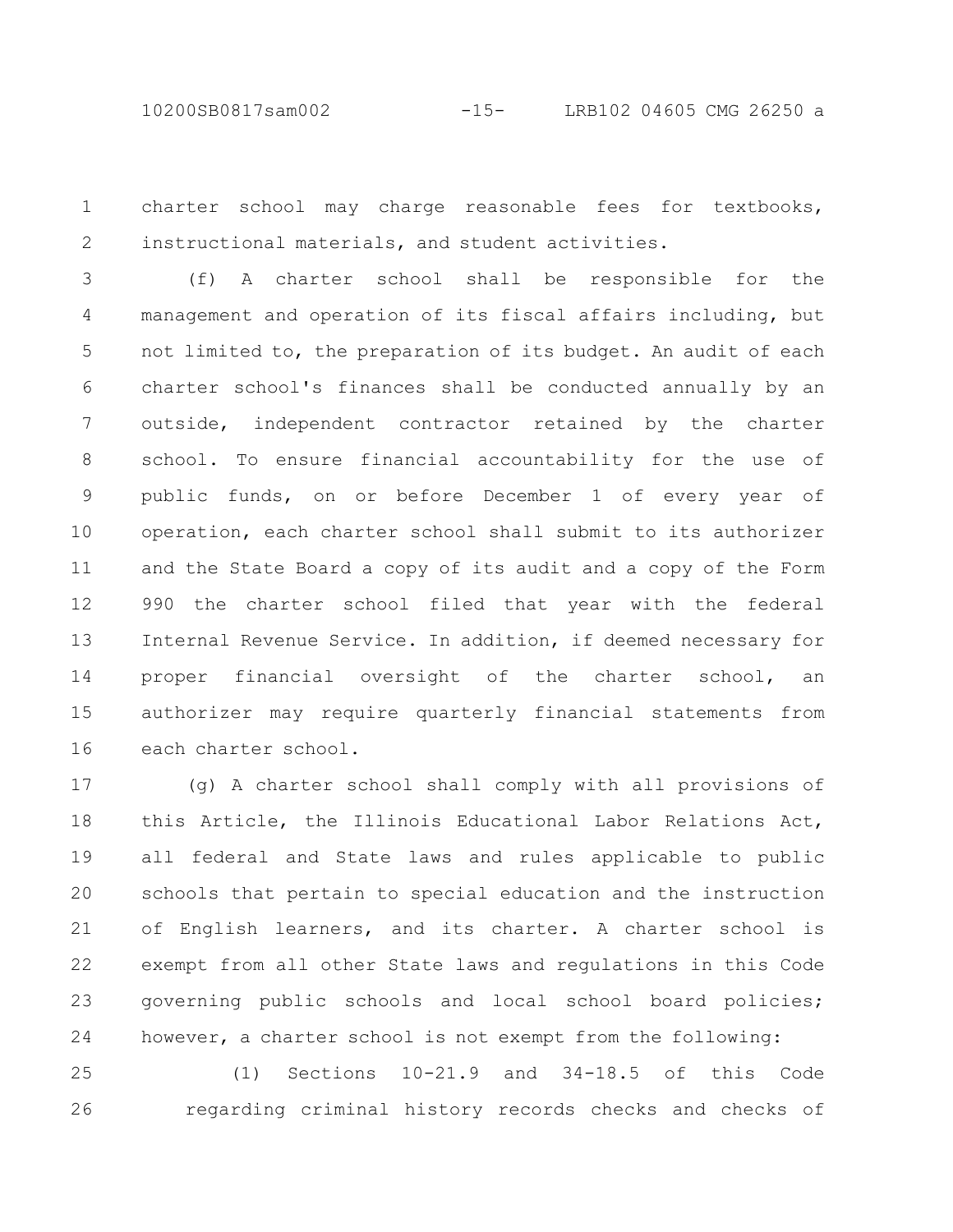10200SB0817sam002 -15- LRB102 04605 CMG 26250 a

charter school may charge reasonable fees for textbooks, instructional materials, and student activities. 1 2

(f) A charter school shall be responsible for the management and operation of its fiscal affairs including, but not limited to, the preparation of its budget. An audit of each charter school's finances shall be conducted annually by an outside, independent contractor retained by the charter school. To ensure financial accountability for the use of public funds, on or before December 1 of every year of operation, each charter school shall submit to its authorizer and the State Board a copy of its audit and a copy of the Form 990 the charter school filed that year with the federal Internal Revenue Service. In addition, if deemed necessary for proper financial oversight of the charter school, an authorizer may require quarterly financial statements from each charter school. 3 4 5 6 7 8 9 10 11 12 13 14 15 16

(g) A charter school shall comply with all provisions of this Article, the Illinois Educational Labor Relations Act, all federal and State laws and rules applicable to public schools that pertain to special education and the instruction of English learners, and its charter. A charter school is exempt from all other State laws and regulations in this Code governing public schools and local school board policies; however, a charter school is not exempt from the following: 17 18 19 20 21 22 23 24

(1) Sections 10-21.9 and 34-18.5 of this Code regarding criminal history records checks and checks of 25 26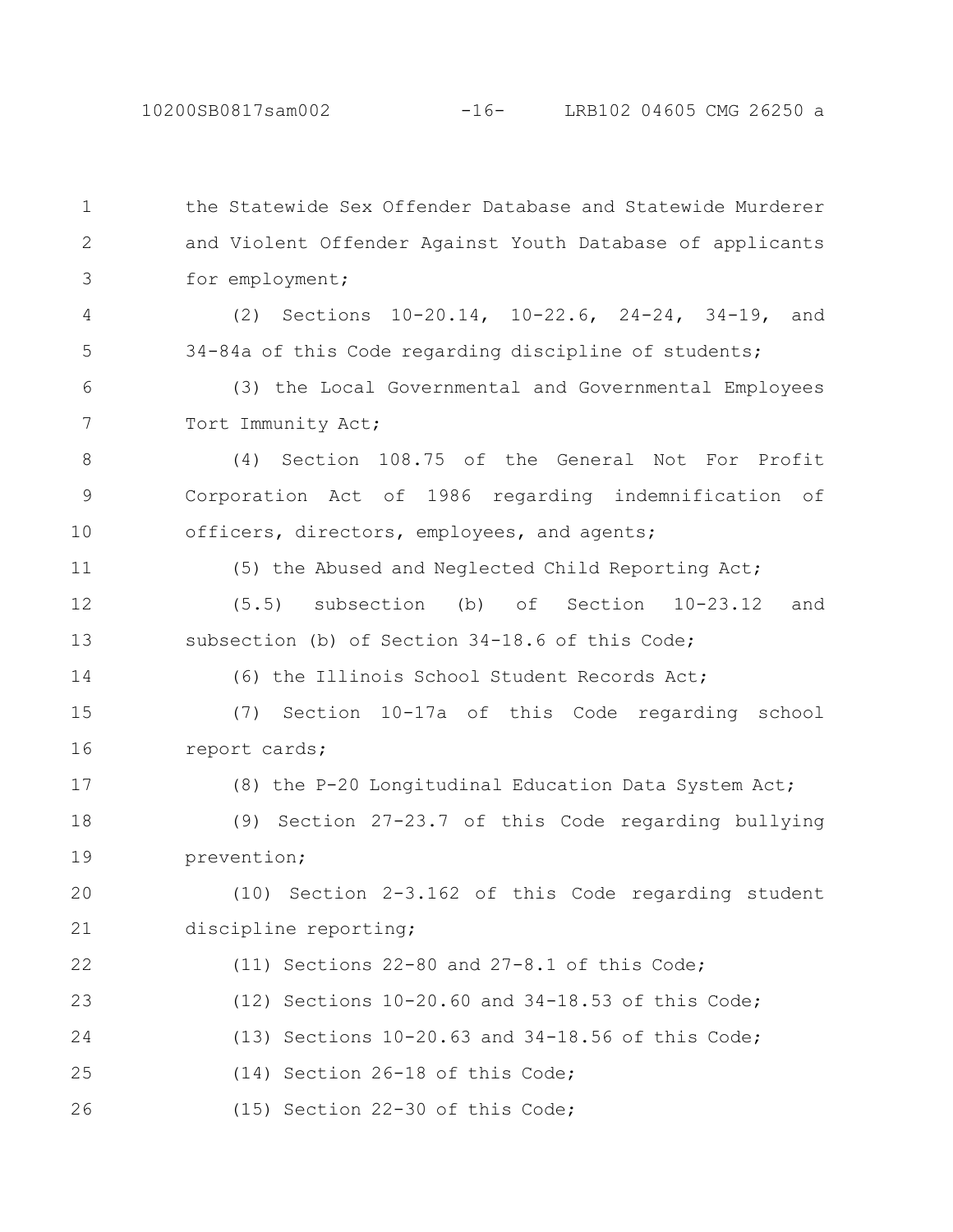the Statewide Sex Offender Database and Statewide Murderer and Violent Offender Against Youth Database of applicants for employment; (2) Sections 10-20.14, 10-22.6, 24-24, 34-19, and 34-84a of this Code regarding discipline of students; (3) the Local Governmental and Governmental Employees Tort Immunity Act; (4) Section 108.75 of the General Not For Profit Corporation Act of 1986 regarding indemnification of officers, directors, employees, and agents; (5) the Abused and Neglected Child Reporting Act; (5.5) subsection (b) of Section 10-23.12 and subsection (b) of Section 34-18.6 of this Code; (6) the Illinois School Student Records Act; (7) Section 10-17a of this Code regarding school report cards; (8) the P-20 Longitudinal Education Data System Act; (9) Section 27-23.7 of this Code regarding bullying prevention; (10) Section 2-3.162 of this Code regarding student discipline reporting; (11) Sections 22-80 and 27-8.1 of this Code; (12) Sections 10-20.60 and 34-18.53 of this Code; (13) Sections 10-20.63 and 34-18.56 of this Code; (14) Section 26-18 of this Code; (15) Section 22-30 of this Code; 1 2 3 4 5 6 7 8 9 10 11 12 13 14 15 16 17 18 19 20 21 22 23 24 25 26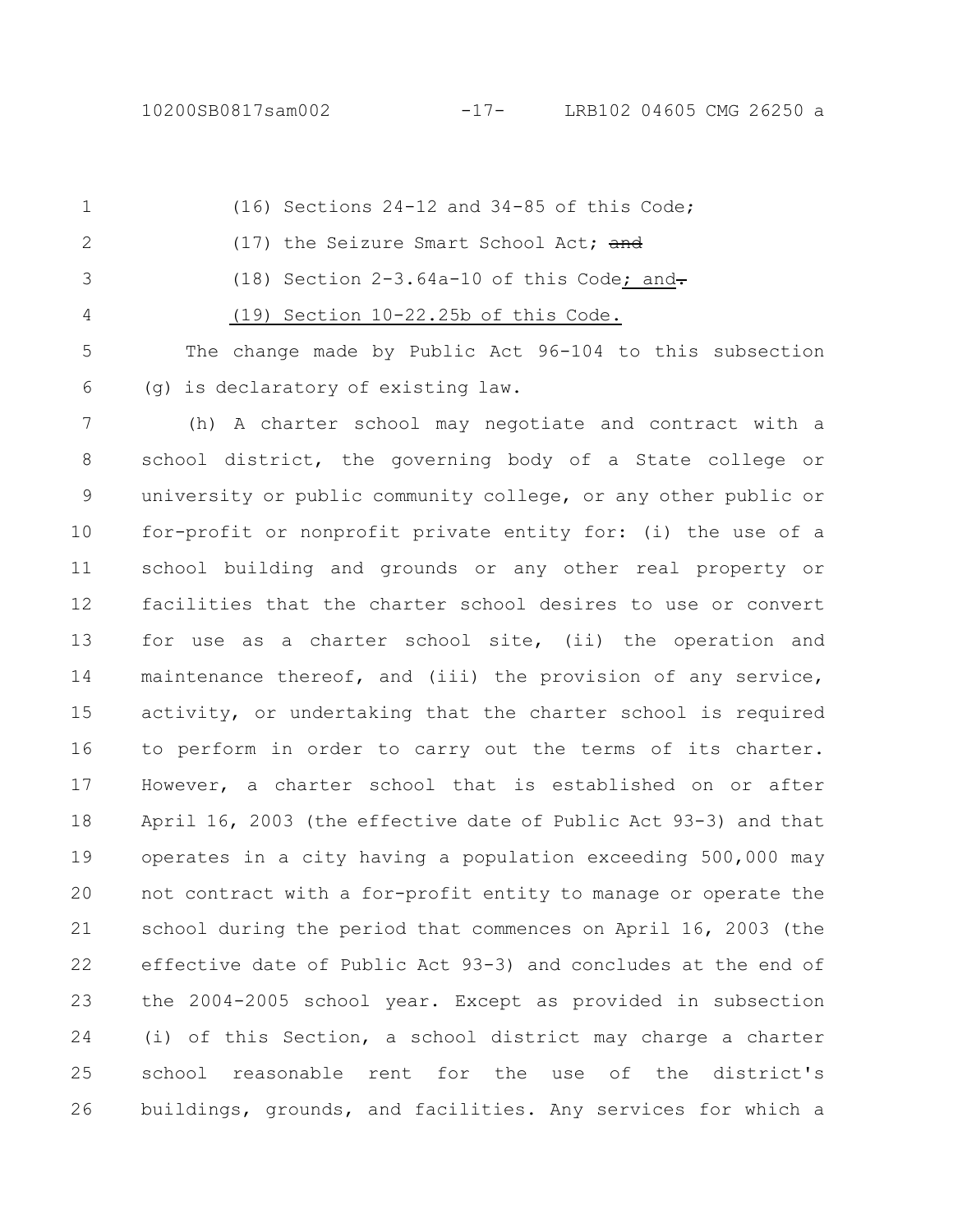(16) Sections 24-12 and 34-85 of this Code; (17) the Seizure Smart School Act; and (18) Section  $2-3.64a-10$  of this Code; and-(19) Section 10-22.25b of this Code. The change made by Public Act 96-104 to this subsection 1 2 3 4 5

(g) is declaratory of existing law.

6

(h) A charter school may negotiate and contract with a school district, the governing body of a State college or university or public community college, or any other public or for-profit or nonprofit private entity for: (i) the use of a school building and grounds or any other real property or facilities that the charter school desires to use or convert for use as a charter school site, (ii) the operation and maintenance thereof, and (iii) the provision of any service, activity, or undertaking that the charter school is required to perform in order to carry out the terms of its charter. However, a charter school that is established on or after April 16, 2003 (the effective date of Public Act 93-3) and that operates in a city having a population exceeding 500,000 may not contract with a for-profit entity to manage or operate the school during the period that commences on April 16, 2003 (the effective date of Public Act 93-3) and concludes at the end of the 2004-2005 school year. Except as provided in subsection (i) of this Section, a school district may charge a charter school reasonable rent for the use of the district's buildings, grounds, and facilities. Any services for which a 7 8 9 10 11 12 13 14 15 16 17 18 19 20 21 22 23 24 25 26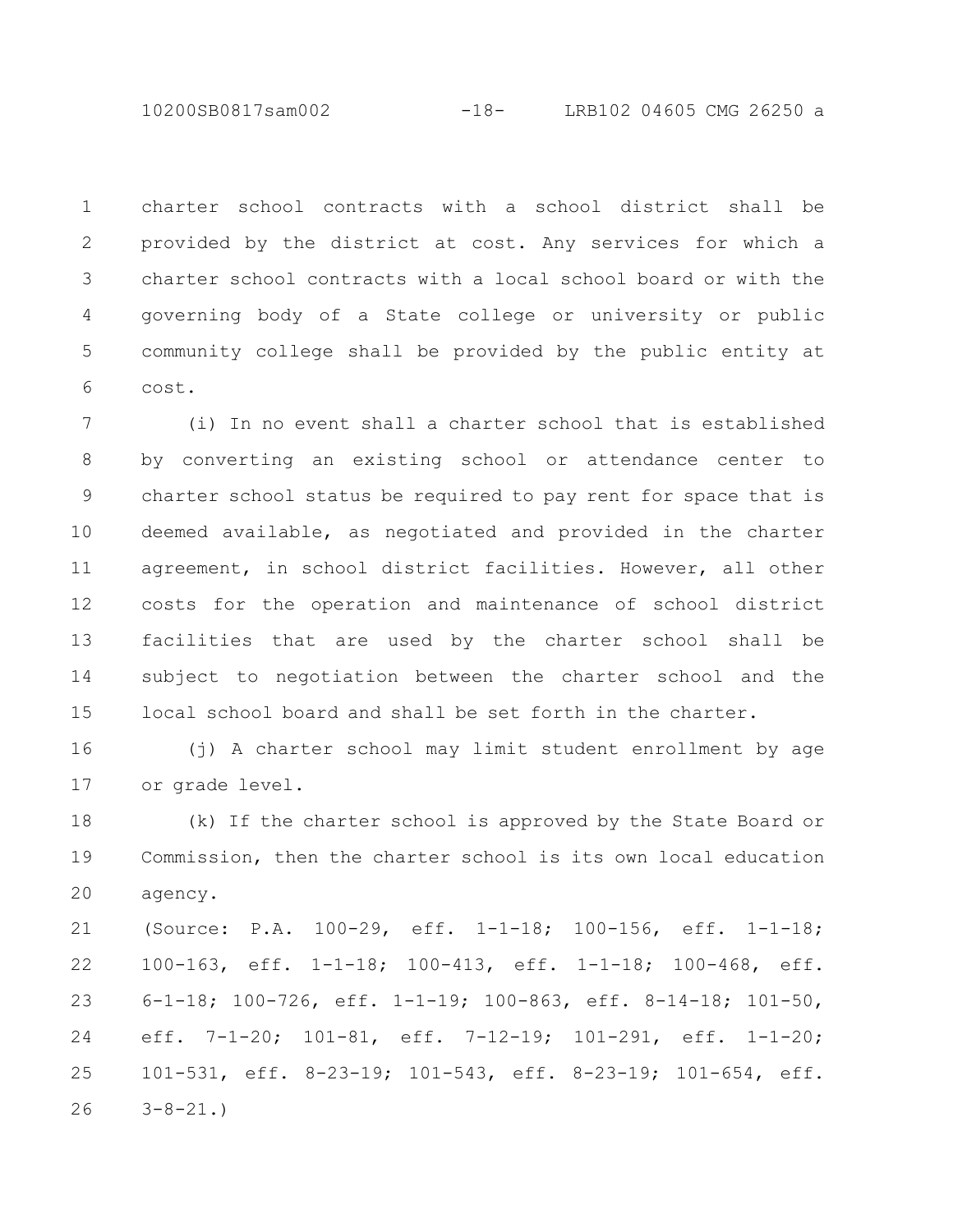10200SB0817sam002 -18- LRB102 04605 CMG 26250 a

charter school contracts with a school district shall be provided by the district at cost. Any services for which a charter school contracts with a local school board or with the governing body of a State college or university or public community college shall be provided by the public entity at cost. 1 2 3 4 5 6

(i) In no event shall a charter school that is established by converting an existing school or attendance center to charter school status be required to pay rent for space that is deemed available, as negotiated and provided in the charter agreement, in school district facilities. However, all other costs for the operation and maintenance of school district facilities that are used by the charter school shall be subject to negotiation between the charter school and the local school board and shall be set forth in the charter. 7 8 9 10 11 12 13 14 15

(j) A charter school may limit student enrollment by age or grade level. 16 17

(k) If the charter school is approved by the State Board or Commission, then the charter school is its own local education agency. 18 19 20

(Source: P.A. 100-29, eff. 1-1-18; 100-156, eff. 1-1-18; 100-163, eff. 1-1-18; 100-413, eff. 1-1-18; 100-468, eff. 6-1-18; 100-726, eff. 1-1-19; 100-863, eff. 8-14-18; 101-50, eff. 7-1-20; 101-81, eff. 7-12-19; 101-291, eff. 1-1-20; 101-531, eff. 8-23-19; 101-543, eff. 8-23-19; 101-654, eff.  $3 - 8 - 21.$ 21 22 23 24 25 26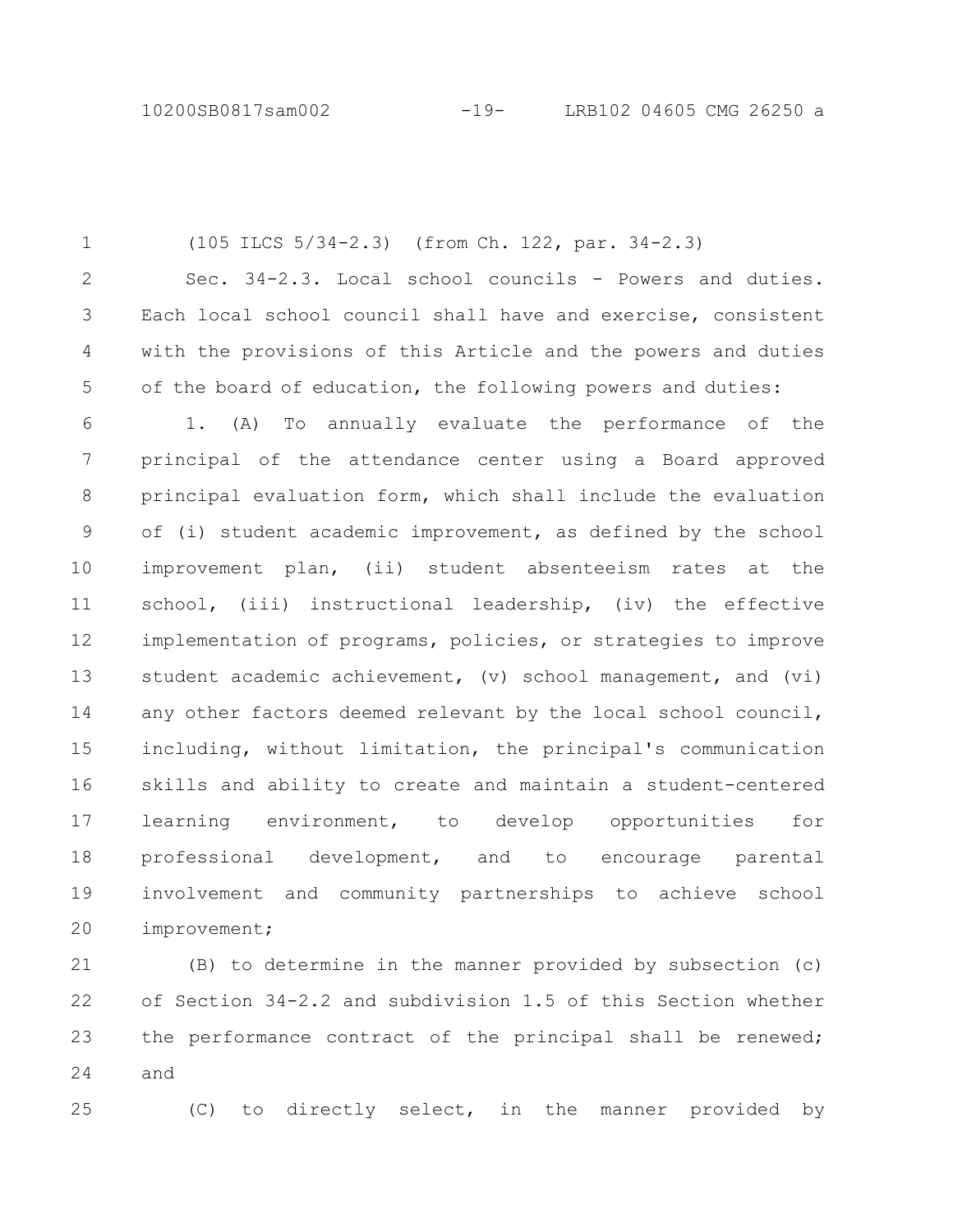(105 ILCS 5/34-2.3) (from Ch. 122, par. 34-2.3) Sec. 34-2.3. Local school councils - Powers and duties. Each local school council shall have and exercise, consistent with the provisions of this Article and the powers and duties of the board of education, the following powers and duties: 1. (A) To annually evaluate the performance of the principal of the attendance center using a Board approved principal evaluation form, which shall include the evaluation of (i) student academic improvement, as defined by the school improvement plan, (ii) student absenteeism rates at the school, (iii) instructional leadership, (iv) the effective implementation of programs, policies, or strategies to improve student academic achievement, (v) school management, and (vi) any other factors deemed relevant by the local school council, including, without limitation, the principal's communication skills and ability to create and maintain a student-centered learning environment, to develop opportunities for professional development, and to encourage parental involvement and community partnerships to achieve school 1 2 3 4 5 6 7 8 9 10 11 12 13 14 15 16 17 18 19

improvement; 20

(B) to determine in the manner provided by subsection (c) of Section 34-2.2 and subdivision 1.5 of this Section whether the performance contract of the principal shall be renewed; and 21 22 23 24

25

(C) to directly select, in the manner provided by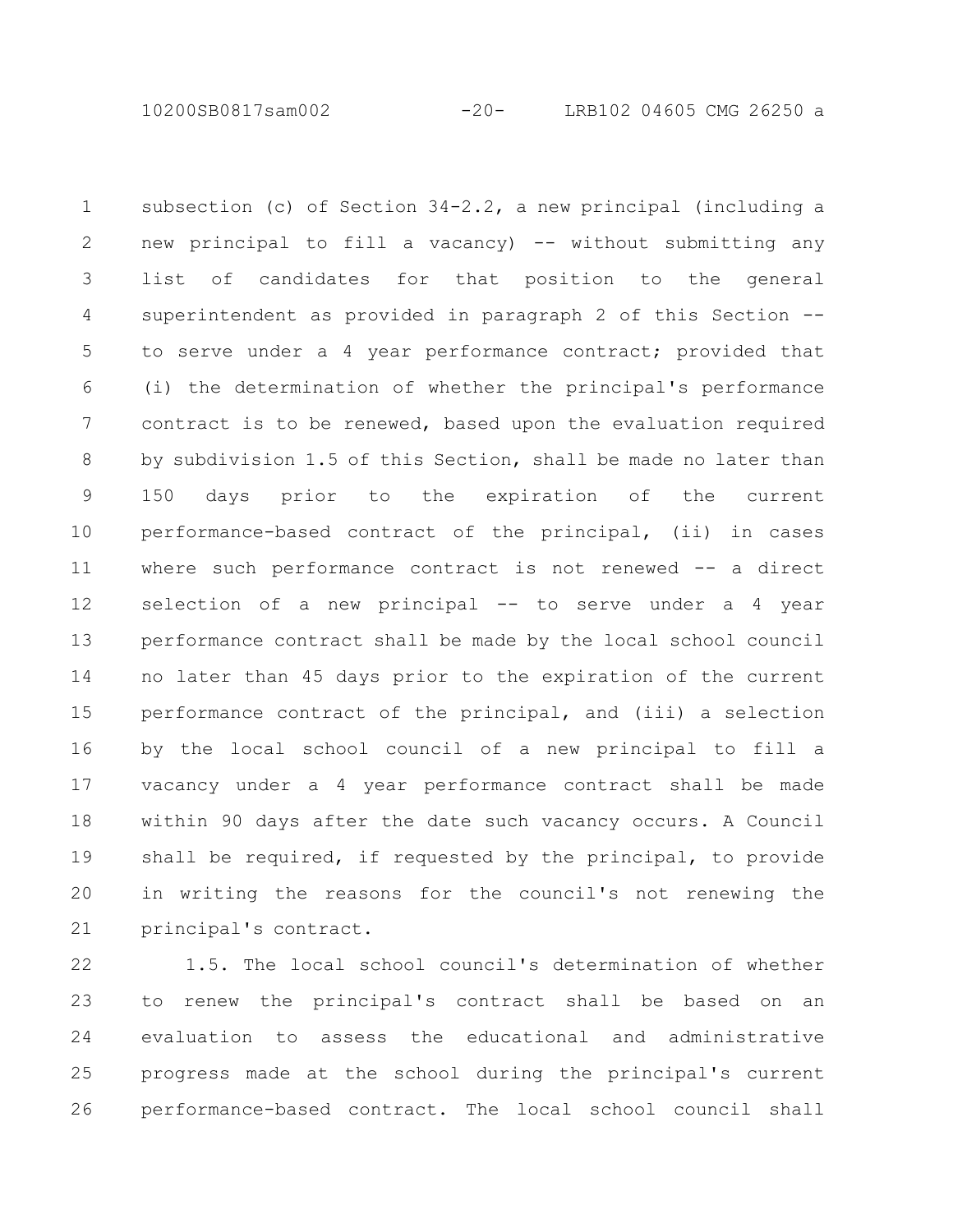10200SB0817sam002 -20- LRB102 04605 CMG 26250 a

subsection (c) of Section 34-2.2, a new principal (including a new principal to fill a vacancy) -- without submitting any list of candidates for that position to the general superintendent as provided in paragraph 2 of this Section - to serve under a 4 year performance contract; provided that (i) the determination of whether the principal's performance contract is to be renewed, based upon the evaluation required by subdivision 1.5 of this Section, shall be made no later than 150 days prior to the expiration of the current performance-based contract of the principal, (ii) in cases where such performance contract is not renewed -- a direct selection of a new principal -- to serve under a 4 year performance contract shall be made by the local school council no later than 45 days prior to the expiration of the current performance contract of the principal, and (iii) a selection by the local school council of a new principal to fill a vacancy under a 4 year performance contract shall be made within 90 days after the date such vacancy occurs. A Council shall be required, if requested by the principal, to provide in writing the reasons for the council's not renewing the principal's contract. 1 2 3 4 5 6 7 8 9 10 11 12 13 14 15 16 17 18 19 20 21

1.5. The local school council's determination of whether to renew the principal's contract shall be based on an evaluation to assess the educational and administrative progress made at the school during the principal's current performance-based contract. The local school council shall 22 23 24 25 26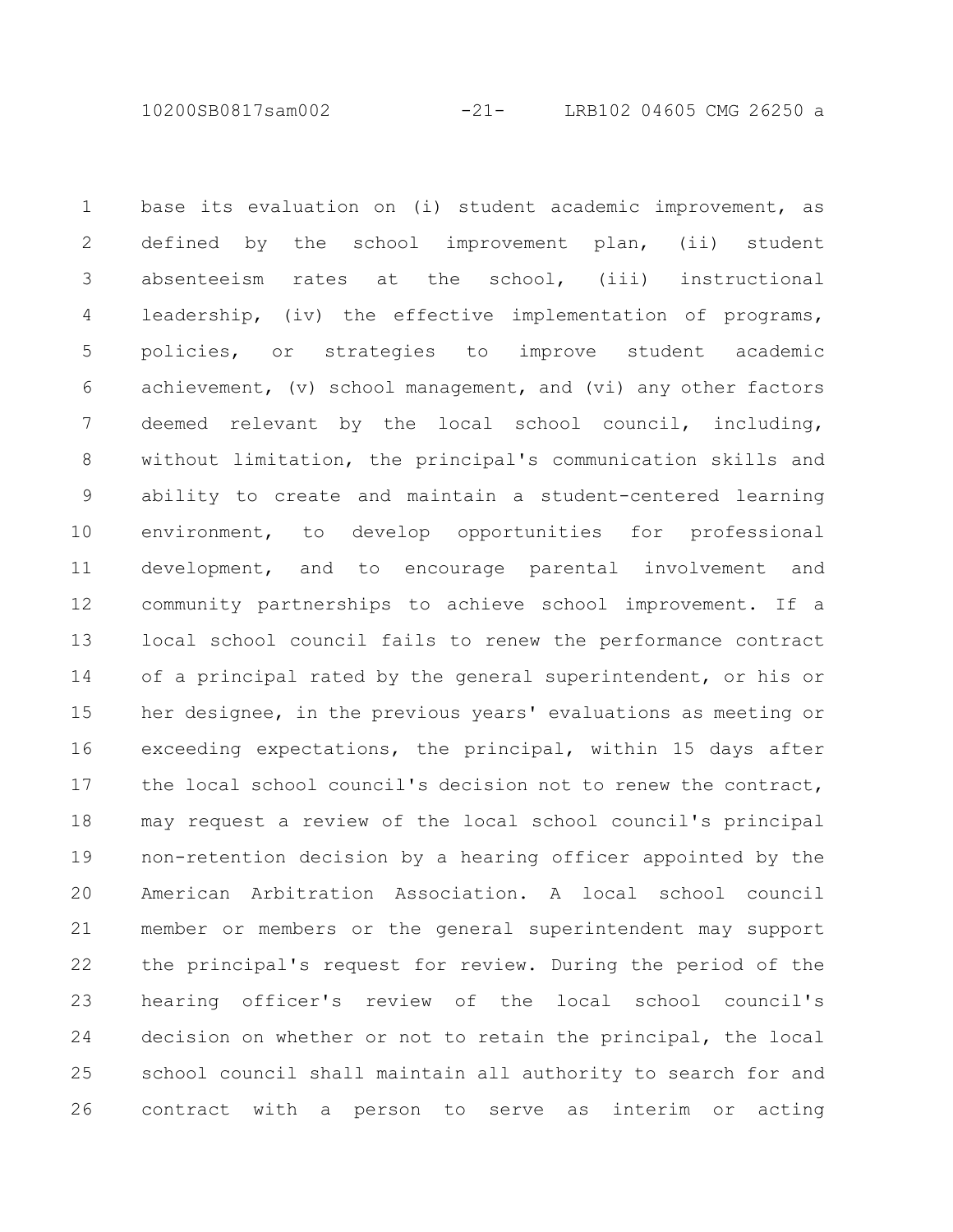10200SB0817sam002 -21- LRB102 04605 CMG 26250 a

base its evaluation on (i) student academic improvement, as defined by the school improvement plan, (ii) student absenteeism rates at the school, (iii) instructional leadership, (iv) the effective implementation of programs, policies, or strategies to improve student academic achievement, (v) school management, and (vi) any other factors deemed relevant by the local school council, including, without limitation, the principal's communication skills and ability to create and maintain a student-centered learning environment, to develop opportunities for professional development, and to encourage parental involvement and community partnerships to achieve school improvement. If a local school council fails to renew the performance contract of a principal rated by the general superintendent, or his or her designee, in the previous years' evaluations as meeting or exceeding expectations, the principal, within 15 days after the local school council's decision not to renew the contract, may request a review of the local school council's principal non-retention decision by a hearing officer appointed by the American Arbitration Association. A local school council member or members or the general superintendent may support the principal's request for review. During the period of the hearing officer's review of the local school council's decision on whether or not to retain the principal, the local school council shall maintain all authority to search for and contract with a person to serve as interim or acting 1 2 3 4 5 6 7 8 9 10 11 12 13 14 15 16 17 18 19 20 21 22 23 24 25 26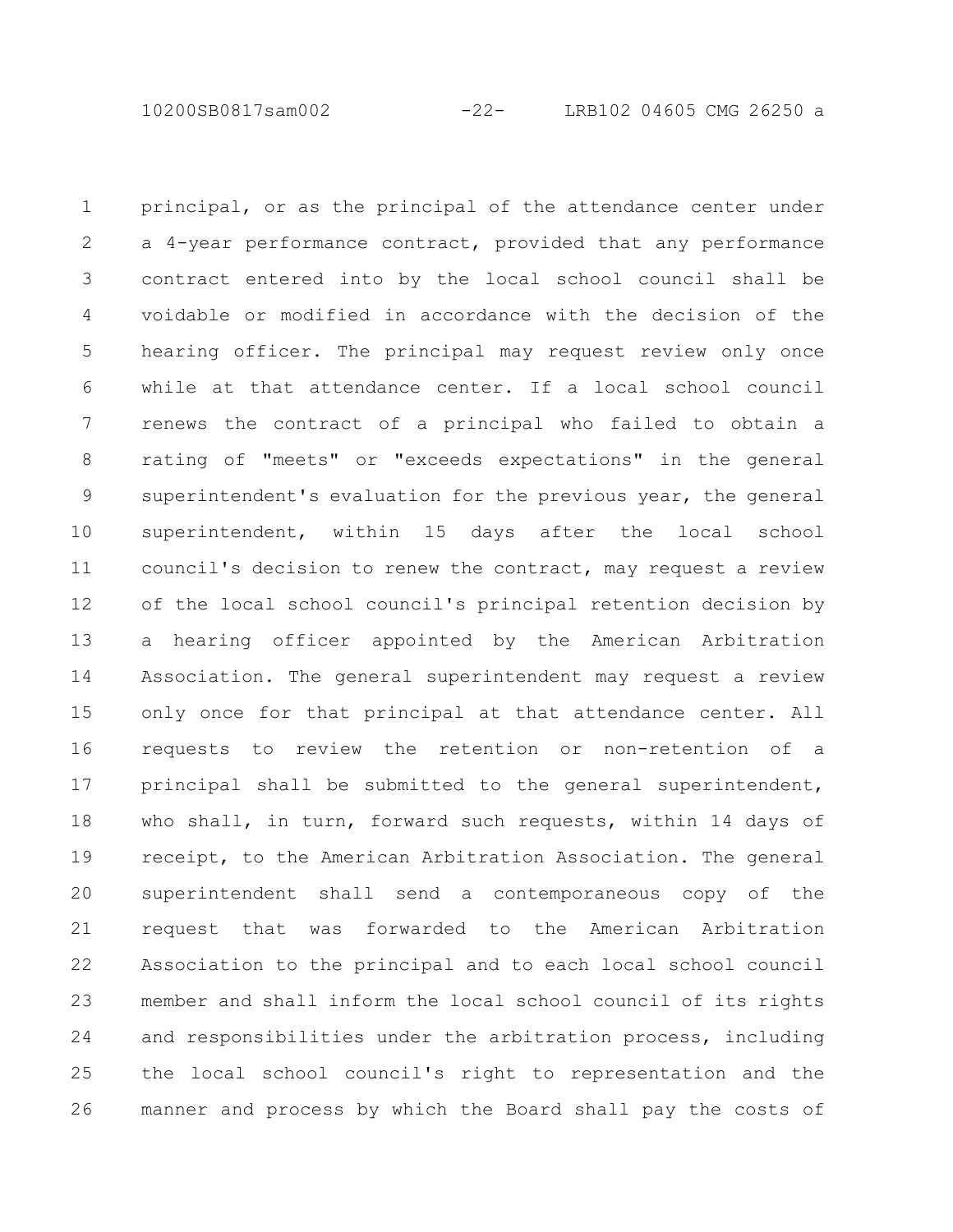10200SB0817sam002 -22- LRB102 04605 CMG 26250 a

principal, or as the principal of the attendance center under a 4-year performance contract, provided that any performance contract entered into by the local school council shall be voidable or modified in accordance with the decision of the hearing officer. The principal may request review only once while at that attendance center. If a local school council renews the contract of a principal who failed to obtain a rating of "meets" or "exceeds expectations" in the general superintendent's evaluation for the previous year, the general superintendent, within 15 days after the local school council's decision to renew the contract, may request a review of the local school council's principal retention decision by a hearing officer appointed by the American Arbitration Association. The general superintendent may request a review only once for that principal at that attendance center. All requests to review the retention or non-retention of a principal shall be submitted to the general superintendent, who shall, in turn, forward such requests, within 14 days of receipt, to the American Arbitration Association. The general superintendent shall send a contemporaneous copy of the request that was forwarded to the American Arbitration Association to the principal and to each local school council member and shall inform the local school council of its rights and responsibilities under the arbitration process, including the local school council's right to representation and the manner and process by which the Board shall pay the costs of 1 2 3 4 5 6 7 8 9 10 11 12 13 14 15 16 17 18 19 20 21 22 23 24 25 26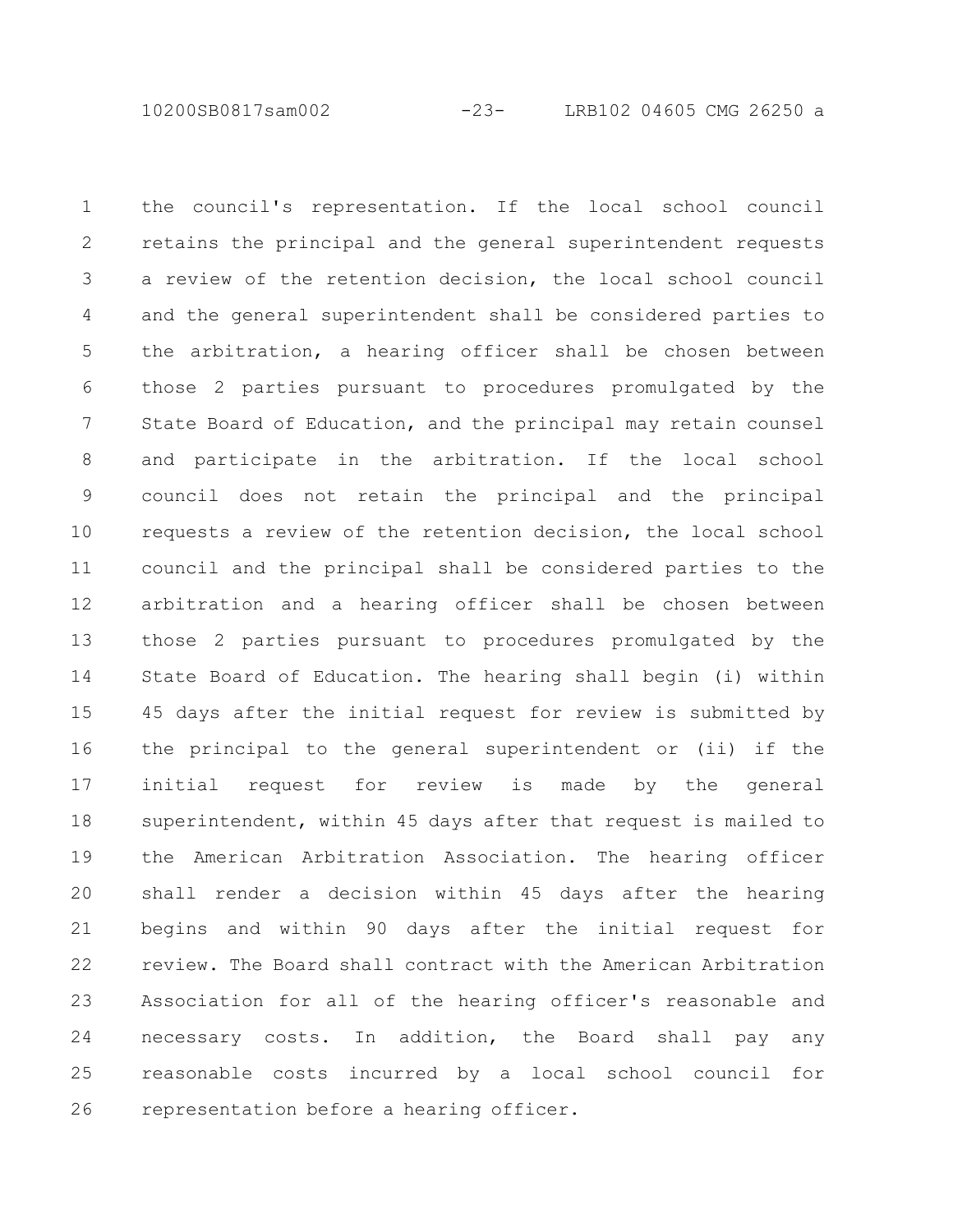10200SB0817sam002 -23- LRB102 04605 CMG 26250 a

the council's representation. If the local school council retains the principal and the general superintendent requests a review of the retention decision, the local school council and the general superintendent shall be considered parties to the arbitration, a hearing officer shall be chosen between those 2 parties pursuant to procedures promulgated by the State Board of Education, and the principal may retain counsel and participate in the arbitration. If the local school council does not retain the principal and the principal requests a review of the retention decision, the local school council and the principal shall be considered parties to the arbitration and a hearing officer shall be chosen between those 2 parties pursuant to procedures promulgated by the State Board of Education. The hearing shall begin (i) within 45 days after the initial request for review is submitted by the principal to the general superintendent or (ii) if the initial request for review is made by the general superintendent, within 45 days after that request is mailed to the American Arbitration Association. The hearing officer shall render a decision within 45 days after the hearing begins and within 90 days after the initial request for review. The Board shall contract with the American Arbitration Association for all of the hearing officer's reasonable and necessary costs. In addition, the Board shall pay any reasonable costs incurred by a local school council for representation before a hearing officer. 1 2 3 4 5 6 7 8 9 10 11 12 13 14 15 16 17 18 19 20 21 22 23 24 25 26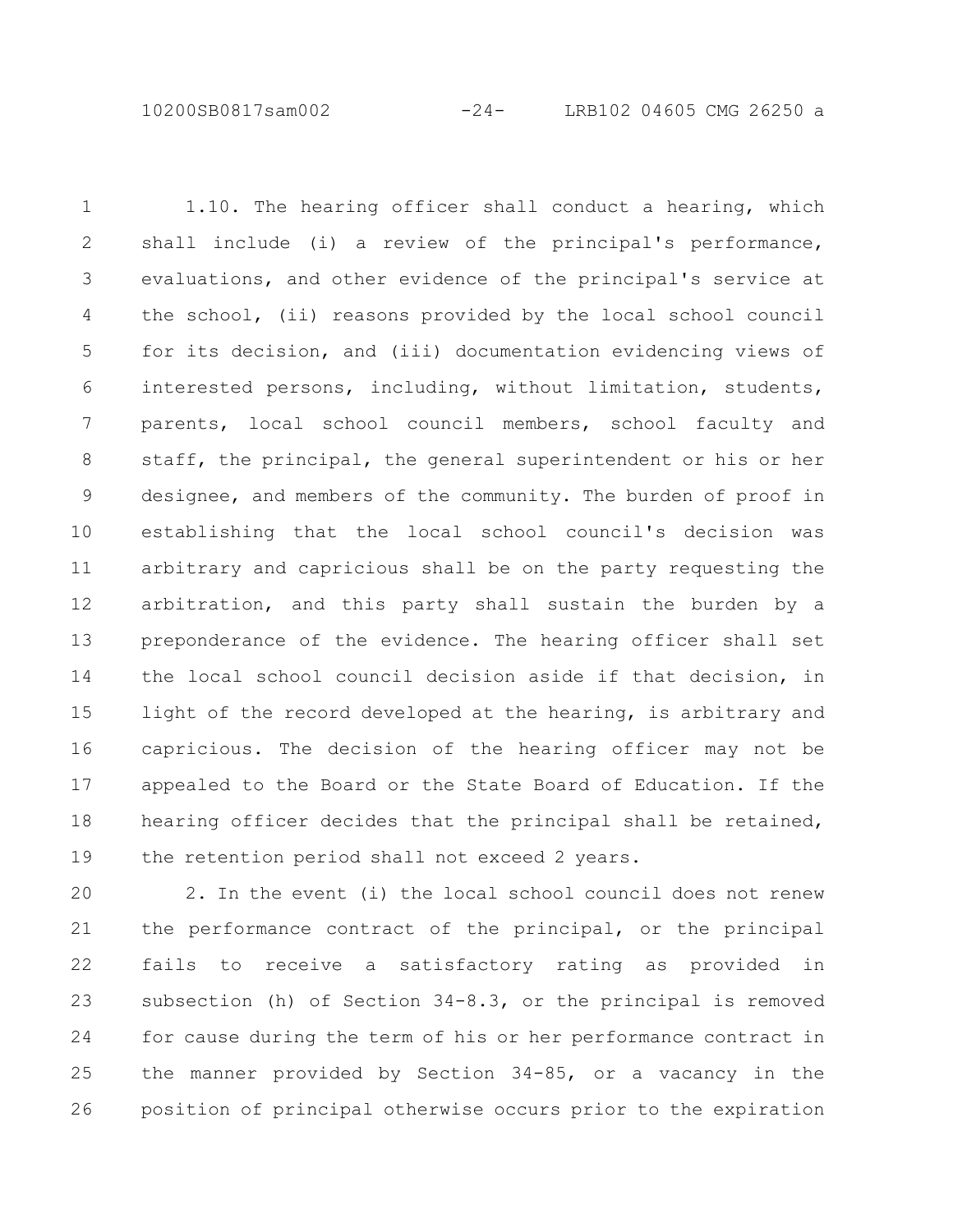10200SB0817sam002 -24- LRB102 04605 CMG 26250 a

1.10. The hearing officer shall conduct a hearing, which shall include (i) a review of the principal's performance, evaluations, and other evidence of the principal's service at the school, (ii) reasons provided by the local school council for its decision, and (iii) documentation evidencing views of interested persons, including, without limitation, students, parents, local school council members, school faculty and staff, the principal, the general superintendent or his or her designee, and members of the community. The burden of proof in establishing that the local school council's decision was arbitrary and capricious shall be on the party requesting the arbitration, and this party shall sustain the burden by a preponderance of the evidence. The hearing officer shall set the local school council decision aside if that decision, in light of the record developed at the hearing, is arbitrary and capricious. The decision of the hearing officer may not be appealed to the Board or the State Board of Education. If the hearing officer decides that the principal shall be retained, the retention period shall not exceed 2 years. 1 2 3 4 5 6 7 8 9 10 11 12 13 14 15 16 17 18 19

2. In the event (i) the local school council does not renew the performance contract of the principal, or the principal fails to receive a satisfactory rating as provided in subsection (h) of Section 34-8.3, or the principal is removed for cause during the term of his or her performance contract in the manner provided by Section 34-85, or a vacancy in the position of principal otherwise occurs prior to the expiration 20 21 22 23 24 25 26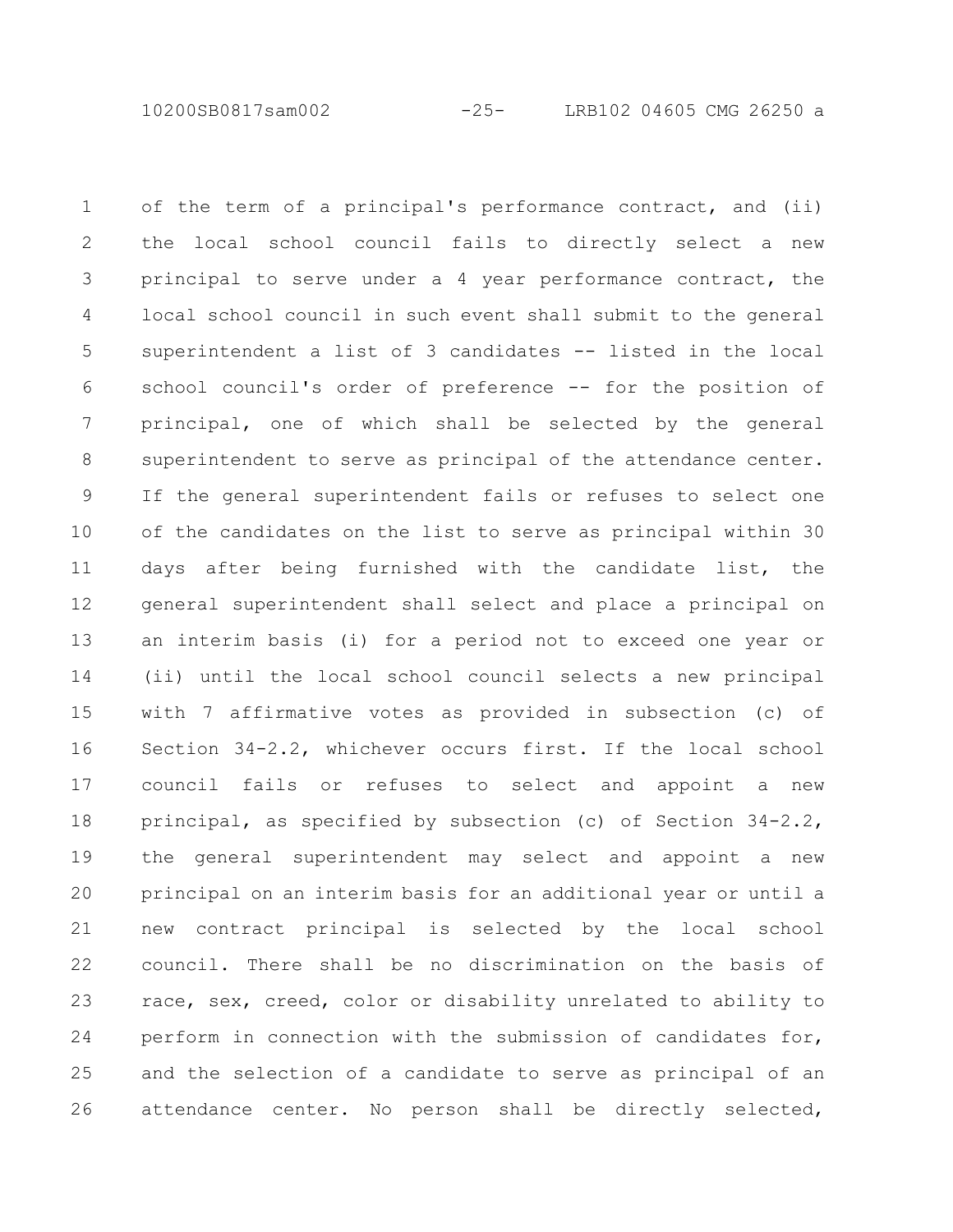10200SB0817sam002 -25- LRB102 04605 CMG 26250 a

of the term of a principal's performance contract, and (ii) the local school council fails to directly select a new principal to serve under a 4 year performance contract, the local school council in such event shall submit to the general superintendent a list of 3 candidates -- listed in the local school council's order of preference -- for the position of principal, one of which shall be selected by the general superintendent to serve as principal of the attendance center. If the general superintendent fails or refuses to select one of the candidates on the list to serve as principal within 30 days after being furnished with the candidate list, the general superintendent shall select and place a principal on an interim basis (i) for a period not to exceed one year or (ii) until the local school council selects a new principal with 7 affirmative votes as provided in subsection (c) of Section 34-2.2, whichever occurs first. If the local school council fails or refuses to select and appoint a new principal, as specified by subsection (c) of Section 34-2.2, the general superintendent may select and appoint a new principal on an interim basis for an additional year or until a new contract principal is selected by the local school council. There shall be no discrimination on the basis of race, sex, creed, color or disability unrelated to ability to perform in connection with the submission of candidates for, and the selection of a candidate to serve as principal of an attendance center. No person shall be directly selected, 1 2 3 4 5 6 7 8 9 10 11 12 13 14 15 16 17 18 19 20 21 22 23 24 25 26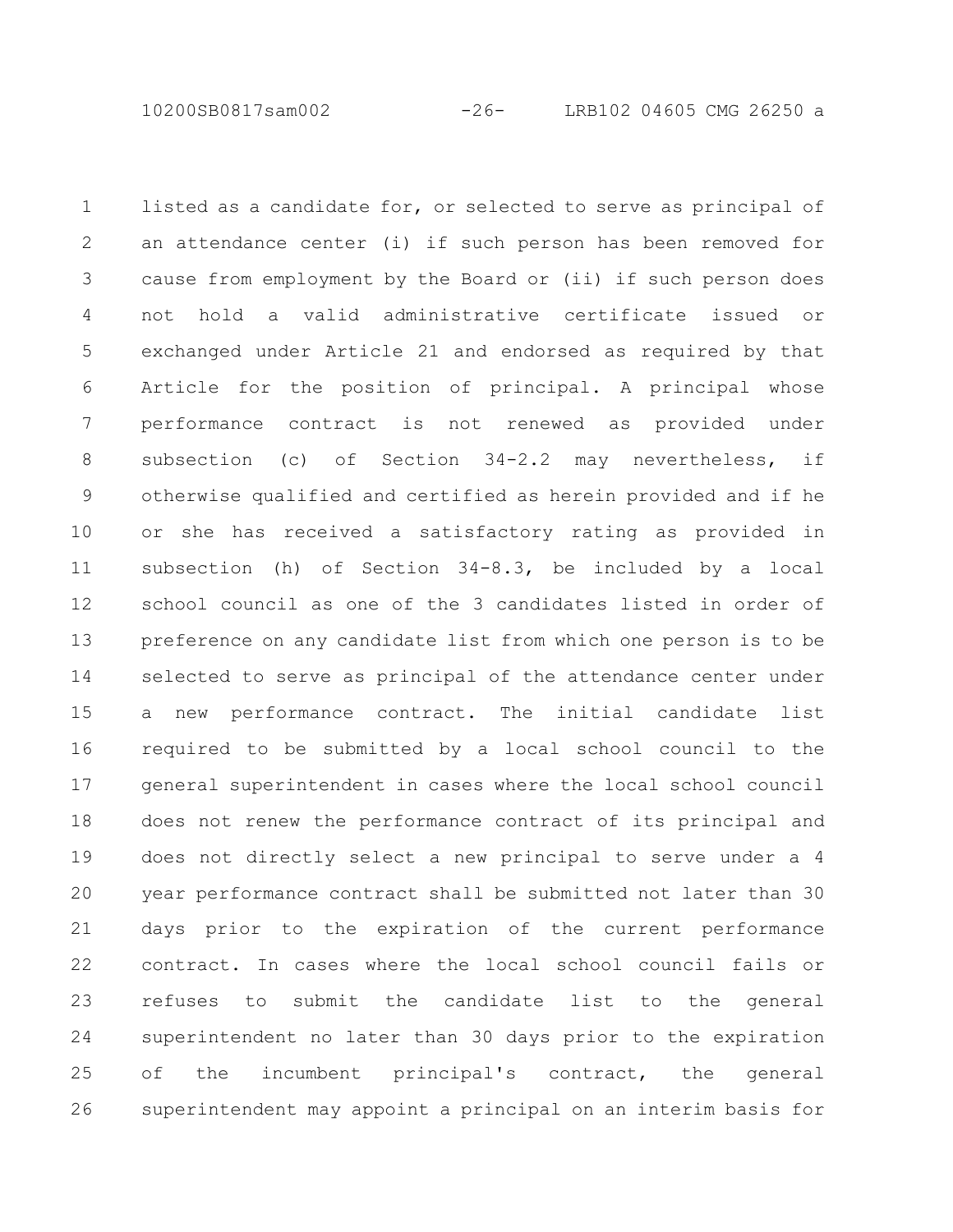10200SB0817sam002 -26- LRB102 04605 CMG 26250 a

listed as a candidate for, or selected to serve as principal of an attendance center (i) if such person has been removed for cause from employment by the Board or (ii) if such person does not hold a valid administrative certificate issued or exchanged under Article 21 and endorsed as required by that Article for the position of principal. A principal whose performance contract is not renewed as provided under subsection (c) of Section 34-2.2 may nevertheless, if otherwise qualified and certified as herein provided and if he or she has received a satisfactory rating as provided in subsection (h) of Section 34-8.3, be included by a local school council as one of the 3 candidates listed in order of preference on any candidate list from which one person is to be selected to serve as principal of the attendance center under a new performance contract. The initial candidate list required to be submitted by a local school council to the general superintendent in cases where the local school council does not renew the performance contract of its principal and does not directly select a new principal to serve under a 4 year performance contract shall be submitted not later than 30 days prior to the expiration of the current performance contract. In cases where the local school council fails or refuses to submit the candidate list to the general superintendent no later than 30 days prior to the expiration of the incumbent principal's contract, the general superintendent may appoint a principal on an interim basis for 1 2 3 4 5 6 7 8 9 10 11 12 13 14 15 16 17 18 19 20 21 22 23 24 25 26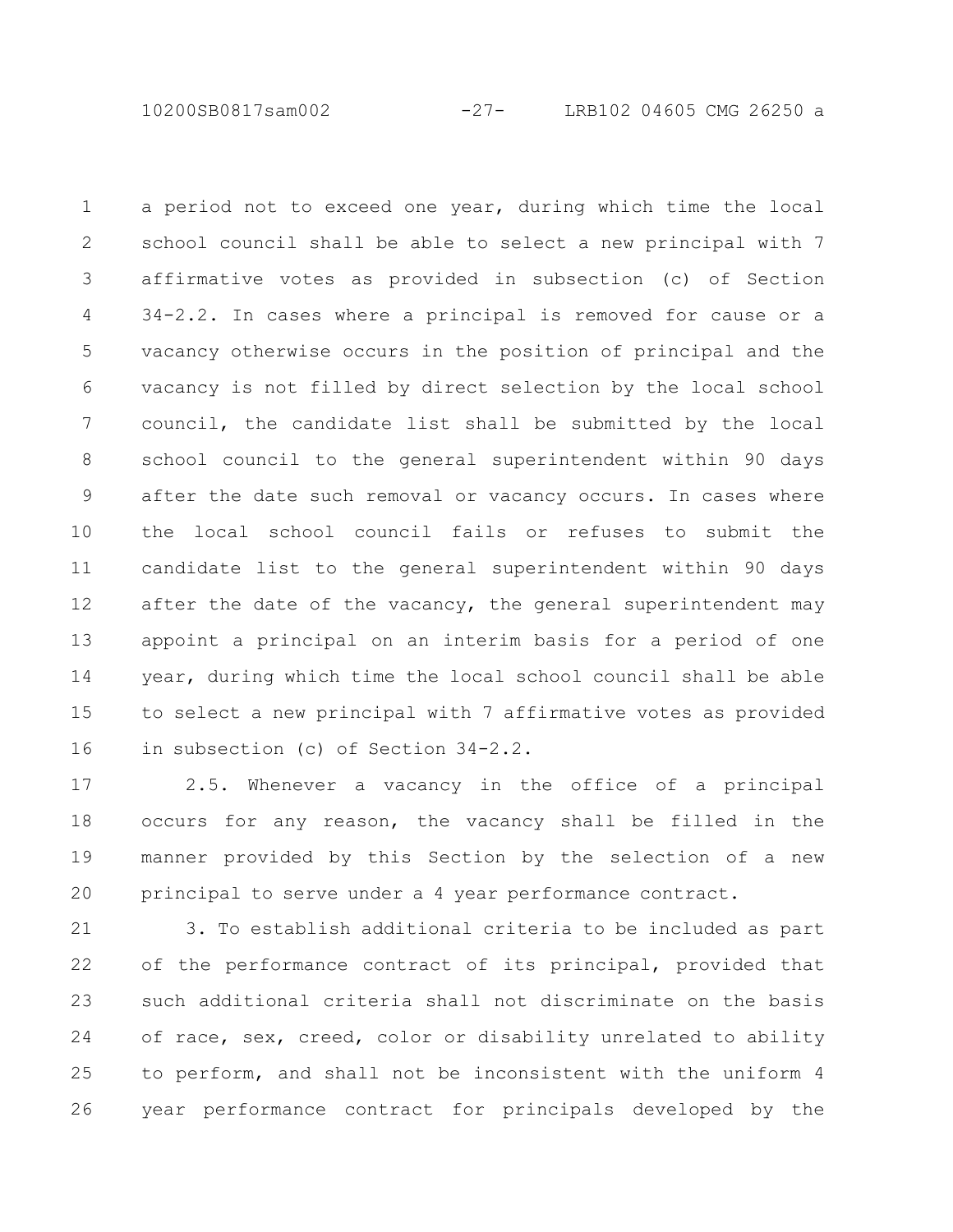10200SB0817sam002 -27- LRB102 04605 CMG 26250 a

a period not to exceed one year, during which time the local school council shall be able to select a new principal with 7 affirmative votes as provided in subsection (c) of Section 34-2.2. In cases where a principal is removed for cause or a vacancy otherwise occurs in the position of principal and the vacancy is not filled by direct selection by the local school council, the candidate list shall be submitted by the local school council to the general superintendent within 90 days after the date such removal or vacancy occurs. In cases where the local school council fails or refuses to submit the candidate list to the general superintendent within 90 days after the date of the vacancy, the general superintendent may appoint a principal on an interim basis for a period of one year, during which time the local school council shall be able to select a new principal with 7 affirmative votes as provided in subsection (c) of Section 34-2.2. 1 2 3 4 5 6 7 8 9 10 11 12 13 14 15 16

2.5. Whenever a vacancy in the office of a principal occurs for any reason, the vacancy shall be filled in the manner provided by this Section by the selection of a new principal to serve under a 4 year performance contract. 17 18 19 20

3. To establish additional criteria to be included as part of the performance contract of its principal, provided that such additional criteria shall not discriminate on the basis of race, sex, creed, color or disability unrelated to ability to perform, and shall not be inconsistent with the uniform 4 year performance contract for principals developed by the 21 22 23 24 25 26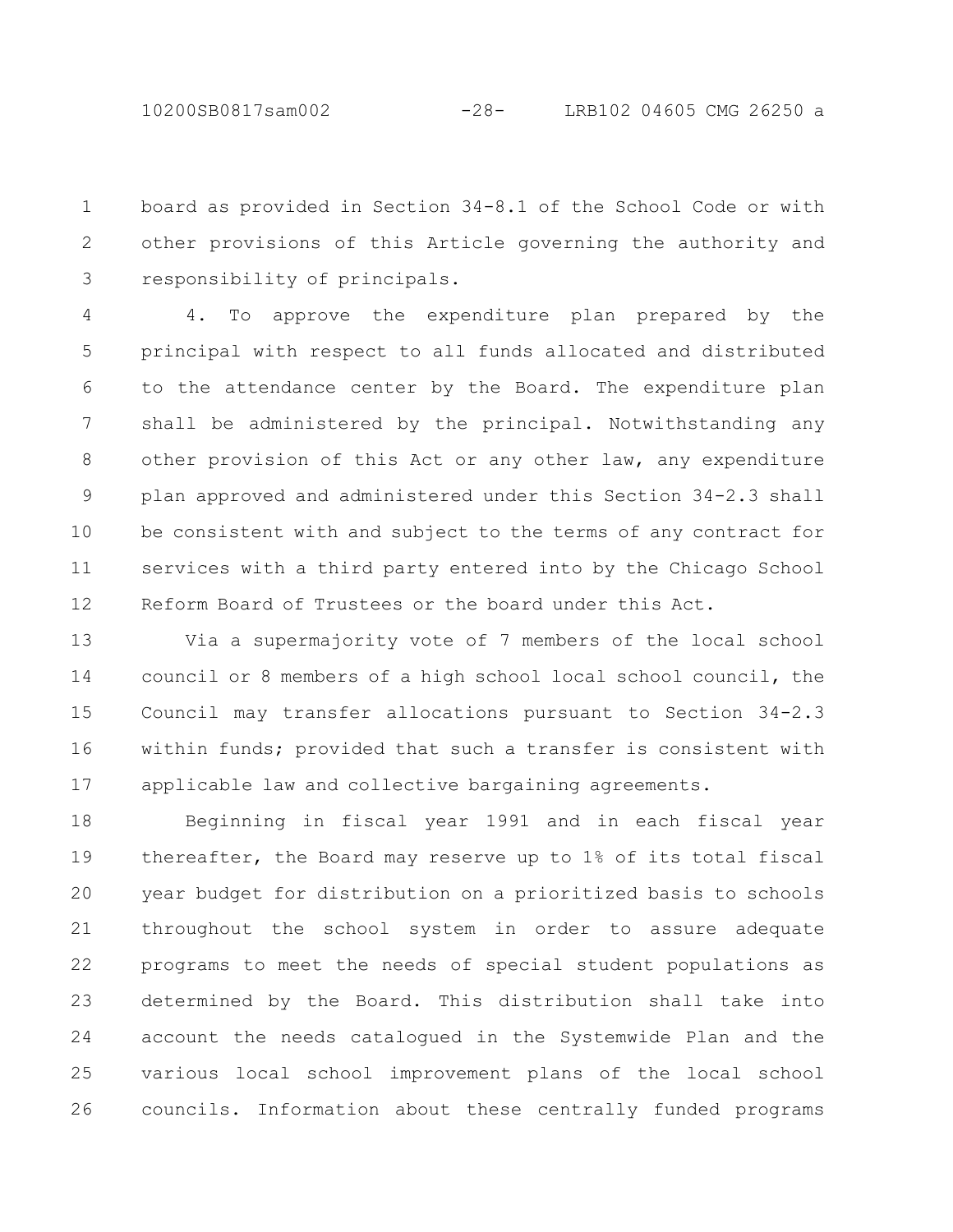board as provided in Section 34-8.1 of the School Code or with other provisions of this Article governing the authority and responsibility of principals. 1 2 3

4. To approve the expenditure plan prepared by the principal with respect to all funds allocated and distributed to the attendance center by the Board. The expenditure plan shall be administered by the principal. Notwithstanding any other provision of this Act or any other law, any expenditure plan approved and administered under this Section 34-2.3 shall be consistent with and subject to the terms of any contract for services with a third party entered into by the Chicago School Reform Board of Trustees or the board under this Act. 4 5 6 7 8 9 10 11 12

Via a supermajority vote of 7 members of the local school council or 8 members of a high school local school council, the Council may transfer allocations pursuant to Section 34-2.3 within funds; provided that such a transfer is consistent with applicable law and collective bargaining agreements. 13 14 15 16 17

Beginning in fiscal year 1991 and in each fiscal year thereafter, the Board may reserve up to 1% of its total fiscal year budget for distribution on a prioritized basis to schools throughout the school system in order to assure adequate programs to meet the needs of special student populations as determined by the Board. This distribution shall take into account the needs catalogued in the Systemwide Plan and the various local school improvement plans of the local school councils. Information about these centrally funded programs 18 19 20 21 22 23 24 25 26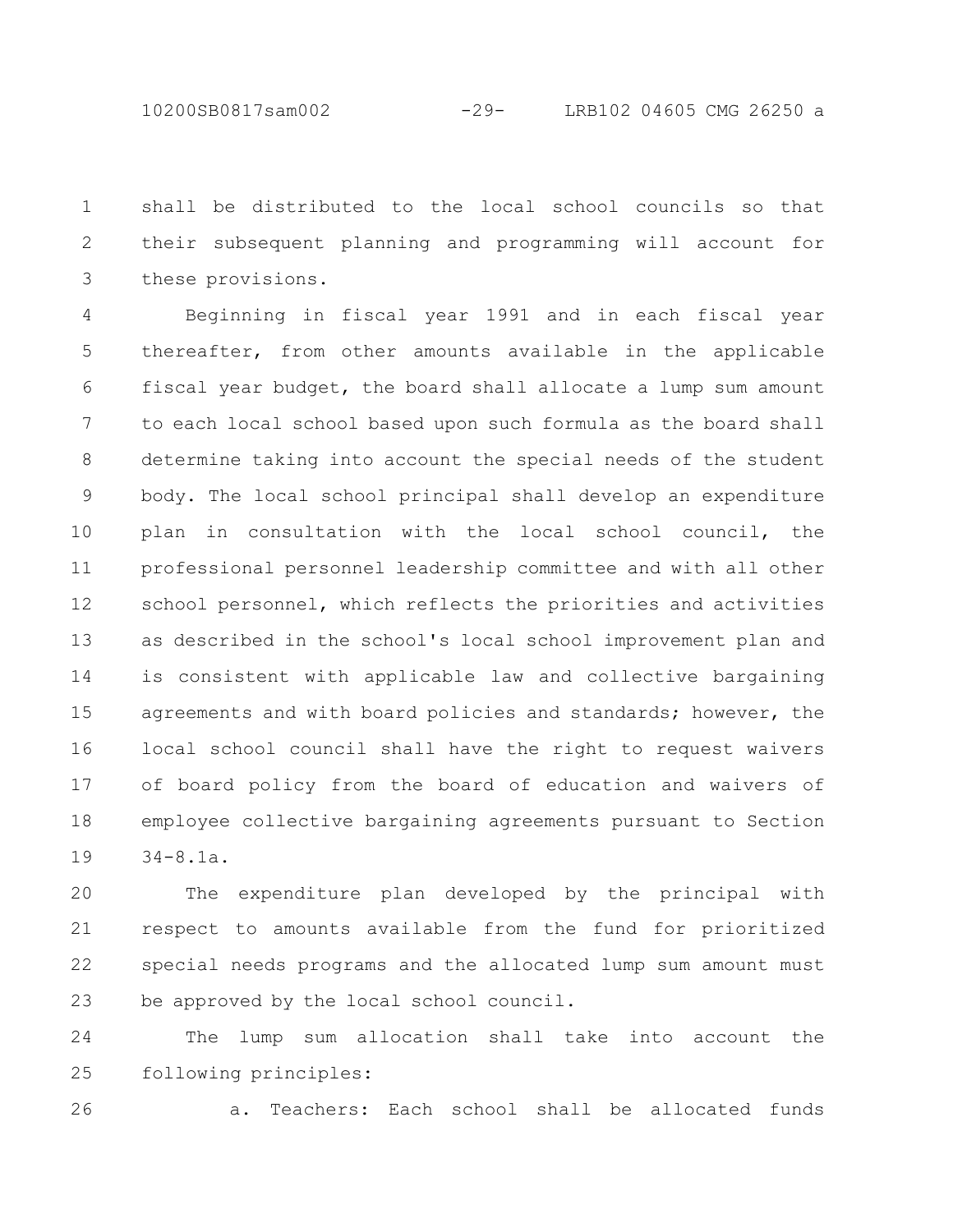shall be distributed to the local school councils so that their subsequent planning and programming will account for these provisions. 1 2 3

Beginning in fiscal year 1991 and in each fiscal year thereafter, from other amounts available in the applicable fiscal year budget, the board shall allocate a lump sum amount to each local school based upon such formula as the board shall determine taking into account the special needs of the student body. The local school principal shall develop an expenditure plan in consultation with the local school council, the professional personnel leadership committee and with all other school personnel, which reflects the priorities and activities as described in the school's local school improvement plan and is consistent with applicable law and collective bargaining agreements and with board policies and standards; however, the local school council shall have the right to request waivers of board policy from the board of education and waivers of employee collective bargaining agreements pursuant to Section 34-8.1a. 4 5 6 7 8 9 10 11 12 13 14 15 16 17 18 19

The expenditure plan developed by the principal with respect to amounts available from the fund for prioritized special needs programs and the allocated lump sum amount must be approved by the local school council. 20 21 22 23

The lump sum allocation shall take into account the following principles: 24 25

26

a. Teachers: Each school shall be allocated funds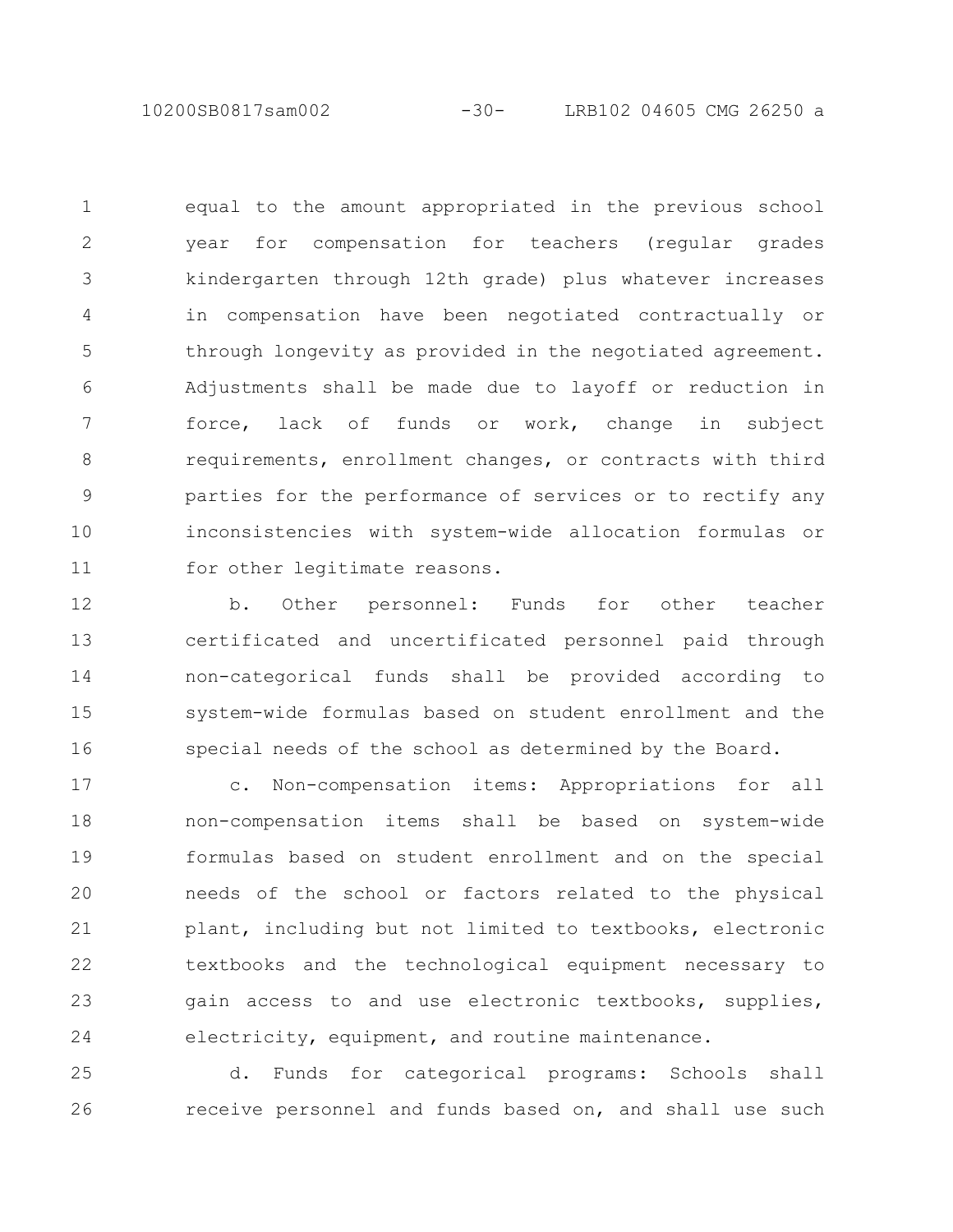10200SB0817sam002 -30- LRB102 04605 CMG 26250 a

equal to the amount appropriated in the previous school year for compensation for teachers (regular grades kindergarten through 12th grade) plus whatever increases in compensation have been negotiated contractually or through longevity as provided in the negotiated agreement. Adjustments shall be made due to layoff or reduction in force, lack of funds or work, change in subject requirements, enrollment changes, or contracts with third parties for the performance of services or to rectify any inconsistencies with system-wide allocation formulas or for other legitimate reasons. 1 2 3 4 5 6 7 8 9 10 11

b. Other personnel: Funds for other teacher certificated and uncertificated personnel paid through non-categorical funds shall be provided according to system-wide formulas based on student enrollment and the special needs of the school as determined by the Board. 12 13 14 15 16

c. Non-compensation items: Appropriations for all non-compensation items shall be based on system-wide formulas based on student enrollment and on the special needs of the school or factors related to the physical plant, including but not limited to textbooks, electronic textbooks and the technological equipment necessary to gain access to and use electronic textbooks, supplies, electricity, equipment, and routine maintenance. 17 18 19 20 21 22 23 24

d. Funds for categorical programs: Schools shall receive personnel and funds based on, and shall use such 25 26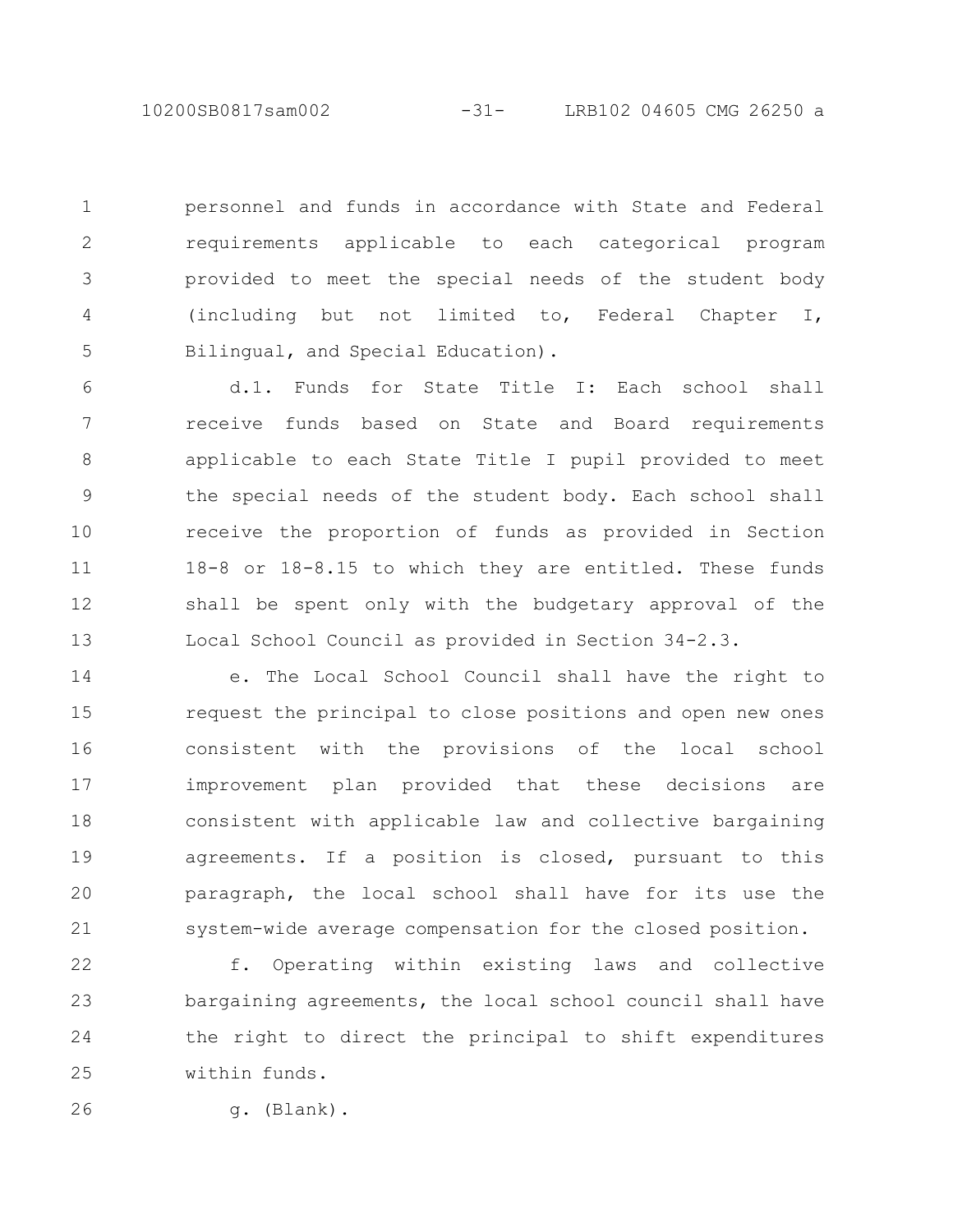10200SB0817sam002 -31- LRB102 04605 CMG 26250 a

personnel and funds in accordance with State and Federal requirements applicable to each categorical program provided to meet the special needs of the student body (including but not limited to, Federal Chapter I, Bilingual, and Special Education). 1 2 3 4 5

d.1. Funds for State Title I: Each school shall receive funds based on State and Board requirements applicable to each State Title I pupil provided to meet the special needs of the student body. Each school shall receive the proportion of funds as provided in Section 18-8 or 18-8.15 to which they are entitled. These funds shall be spent only with the budgetary approval of the Local School Council as provided in Section 34-2.3. 6 7 8 9 10 11 12 13

e. The Local School Council shall have the right to request the principal to close positions and open new ones consistent with the provisions of the local school improvement plan provided that these decisions are consistent with applicable law and collective bargaining agreements. If a position is closed, pursuant to this paragraph, the local school shall have for its use the system-wide average compensation for the closed position. 14 15 16 17 18 19 20 21

f. Operating within existing laws and collective bargaining agreements, the local school council shall have the right to direct the principal to shift expenditures within funds. 22 23 24 25

26

g. (Blank).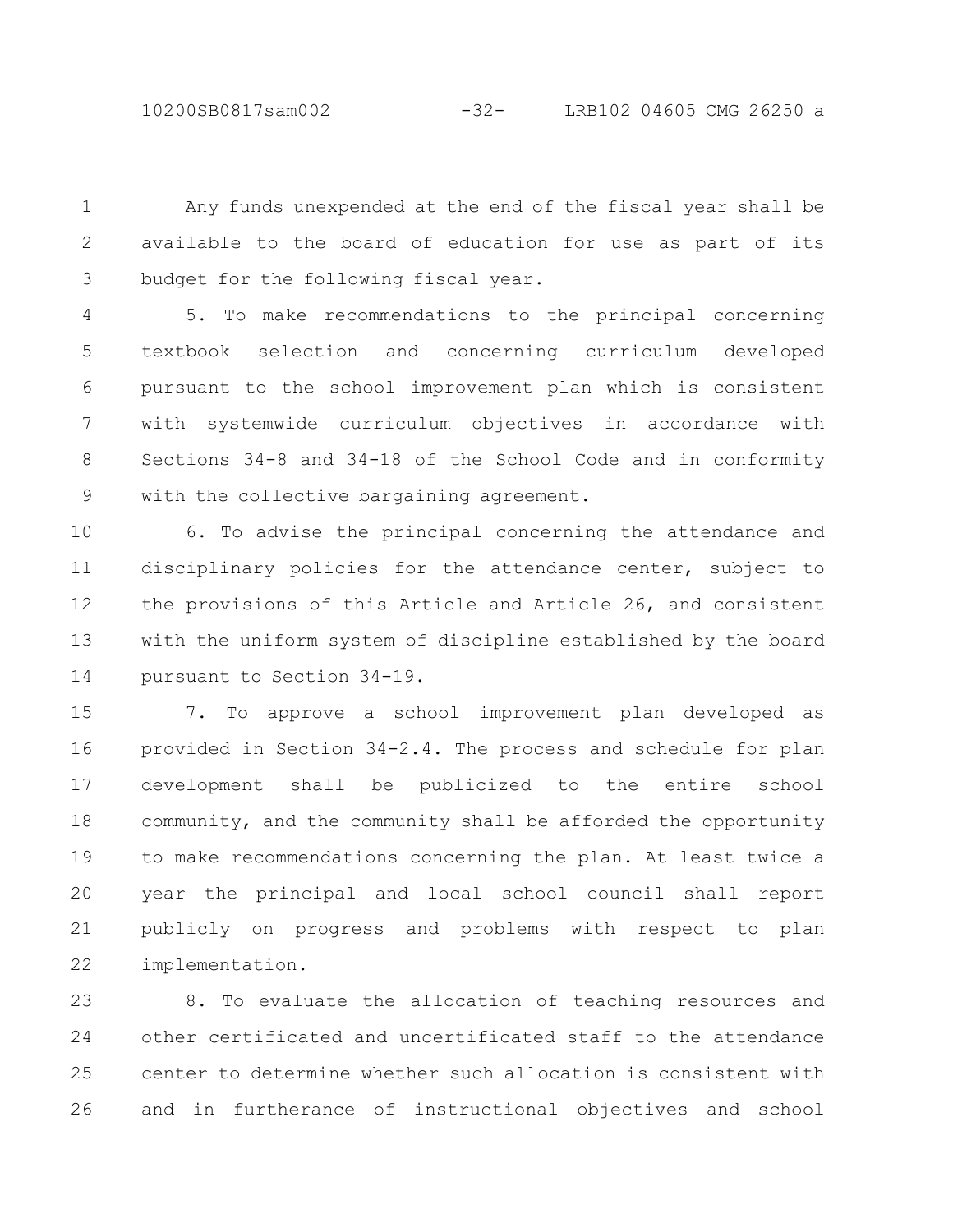10200SB0817sam002 -32- LRB102 04605 CMG 26250 a

Any funds unexpended at the end of the fiscal year shall be available to the board of education for use as part of its budget for the following fiscal year. 1 2 3

5. To make recommendations to the principal concerning textbook selection and concerning curriculum developed pursuant to the school improvement plan which is consistent with systemwide curriculum objectives in accordance with Sections 34-8 and 34-18 of the School Code and in conformity with the collective bargaining agreement. 4 5 6 7 8 9

6. To advise the principal concerning the attendance and disciplinary policies for the attendance center, subject to the provisions of this Article and Article 26, and consistent with the uniform system of discipline established by the board pursuant to Section 34-19. 10 11 12 13 14

7. To approve a school improvement plan developed as provided in Section 34-2.4. The process and schedule for plan development shall be publicized to the entire school community, and the community shall be afforded the opportunity to make recommendations concerning the plan. At least twice a year the principal and local school council shall report publicly on progress and problems with respect to plan implementation. 15 16 17 18 19 20 21 22

8. To evaluate the allocation of teaching resources and other certificated and uncertificated staff to the attendance center to determine whether such allocation is consistent with and in furtherance of instructional objectives and school 23 24 25 26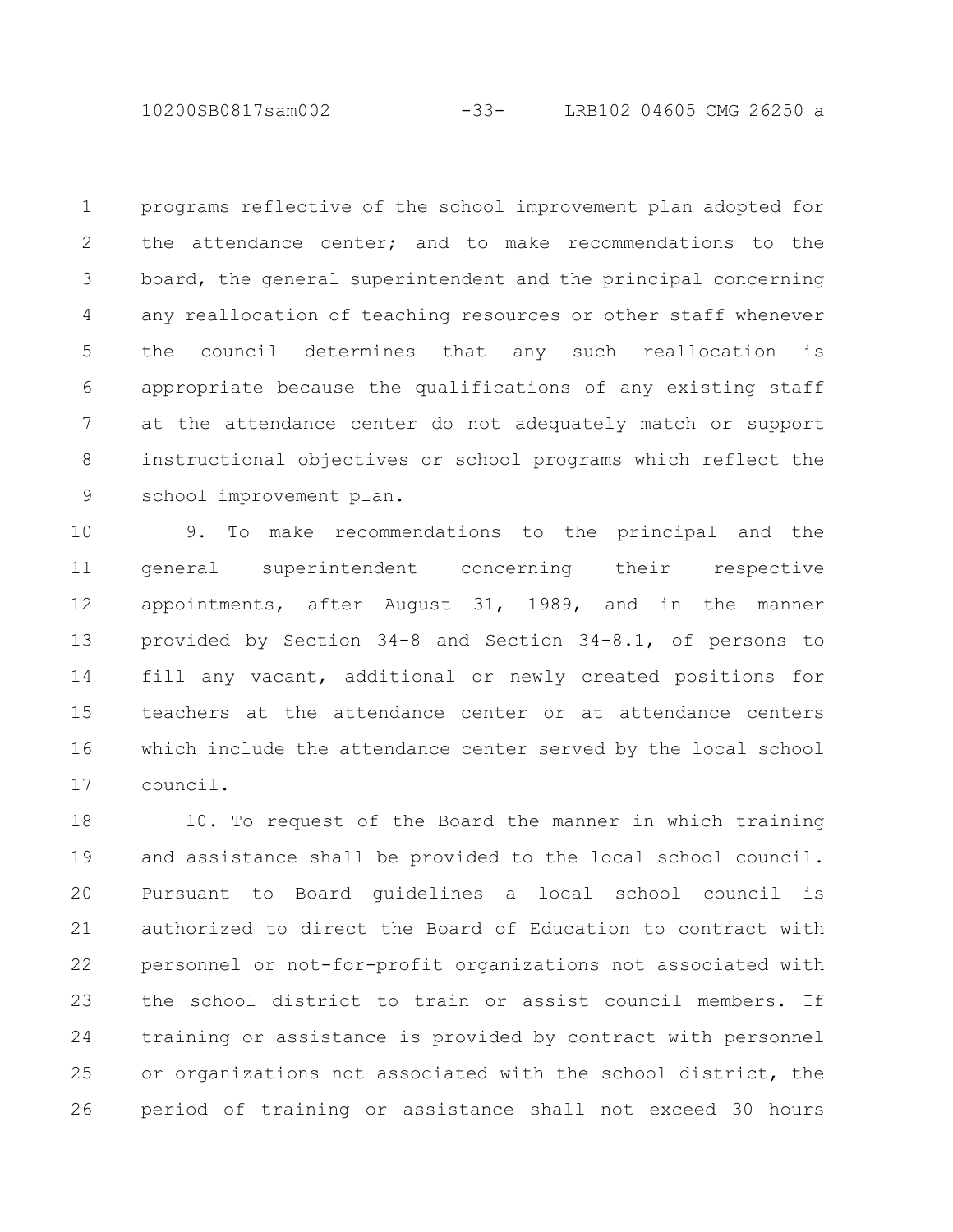10200SB0817sam002 -33- LRB102 04605 CMG 26250 a

programs reflective of the school improvement plan adopted for the attendance center; and to make recommendations to the board, the general superintendent and the principal concerning any reallocation of teaching resources or other staff whenever the council determines that any such reallocation is appropriate because the qualifications of any existing staff at the attendance center do not adequately match or support instructional objectives or school programs which reflect the school improvement plan. 1 2 3 4 5 6 7 8 9

9. To make recommendations to the principal and the general superintendent concerning their respective appointments, after August 31, 1989, and in the manner provided by Section 34-8 and Section 34-8.1, of persons to fill any vacant, additional or newly created positions for teachers at the attendance center or at attendance centers which include the attendance center served by the local school council. 10 11 12 13 14 15 16 17

10. To request of the Board the manner in which training and assistance shall be provided to the local school council. Pursuant to Board guidelines a local school council is authorized to direct the Board of Education to contract with personnel or not-for-profit organizations not associated with the school district to train or assist council members. If training or assistance is provided by contract with personnel or organizations not associated with the school district, the period of training or assistance shall not exceed 30 hours 18 19 20 21 22 23 24 25 26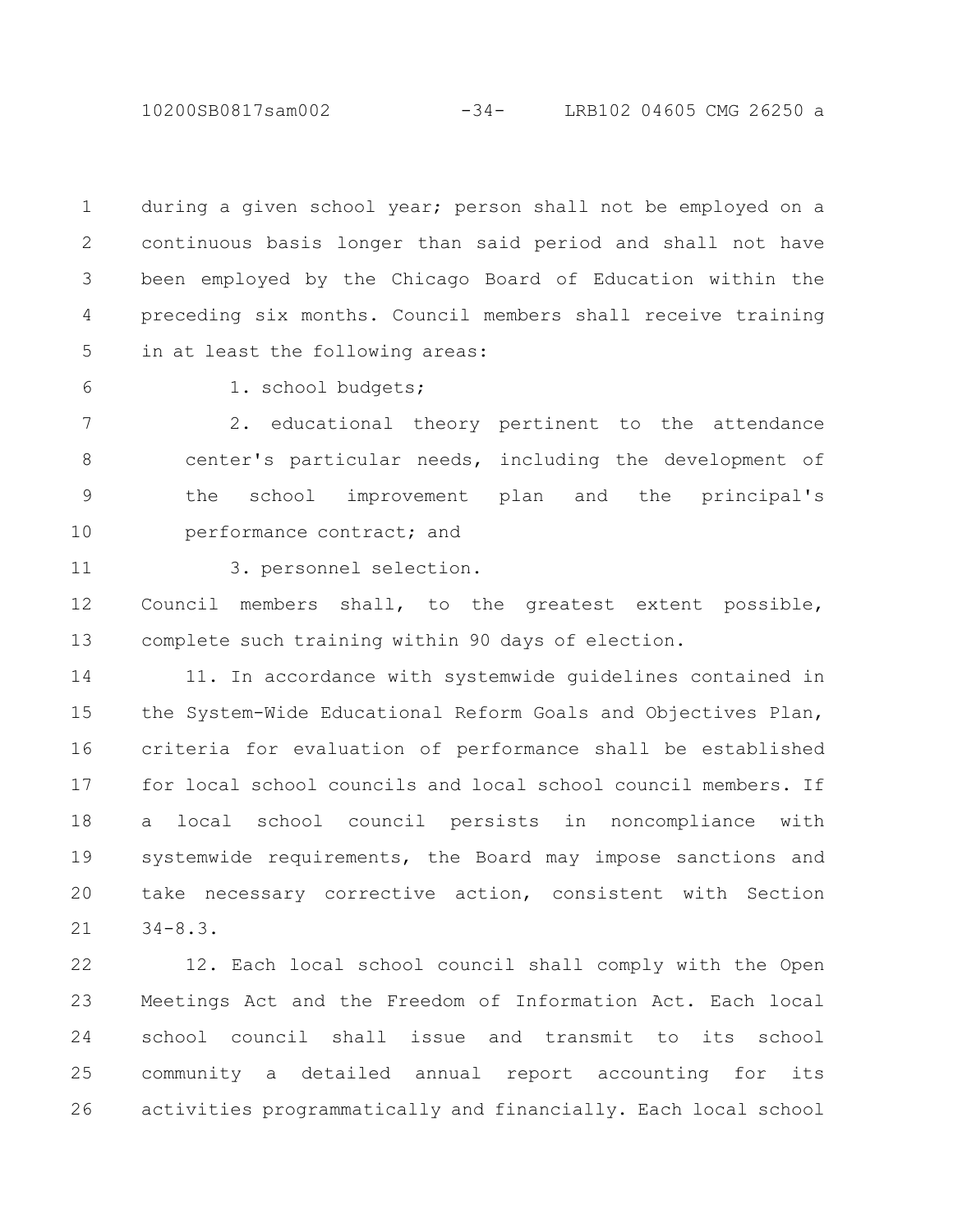10200SB0817sam002 -34- LRB102 04605 CMG 26250 a

during a given school year; person shall not be employed on a continuous basis longer than said period and shall not have been employed by the Chicago Board of Education within the preceding six months. Council members shall receive training in at least the following areas: 1 2 3 4 5

6

1. school budgets;

2. educational theory pertinent to the attendance center's particular needs, including the development of the school improvement plan and the principal's performance contract; and 7 8 9 10

11

3. personnel selection.

Council members shall, to the greatest extent possible, complete such training within 90 days of election. 12 13

11. In accordance with systemwide guidelines contained in the System-Wide Educational Reform Goals and Objectives Plan, criteria for evaluation of performance shall be established for local school councils and local school council members. If a local school council persists in noncompliance with systemwide requirements, the Board may impose sanctions and take necessary corrective action, consistent with Section 34-8.3. 14 15 16 17 18 19 20 21

12. Each local school council shall comply with the Open Meetings Act and the Freedom of Information Act. Each local school council shall issue and transmit to its school community a detailed annual report accounting for its activities programmatically and financially. Each local school 22 23 24 25 26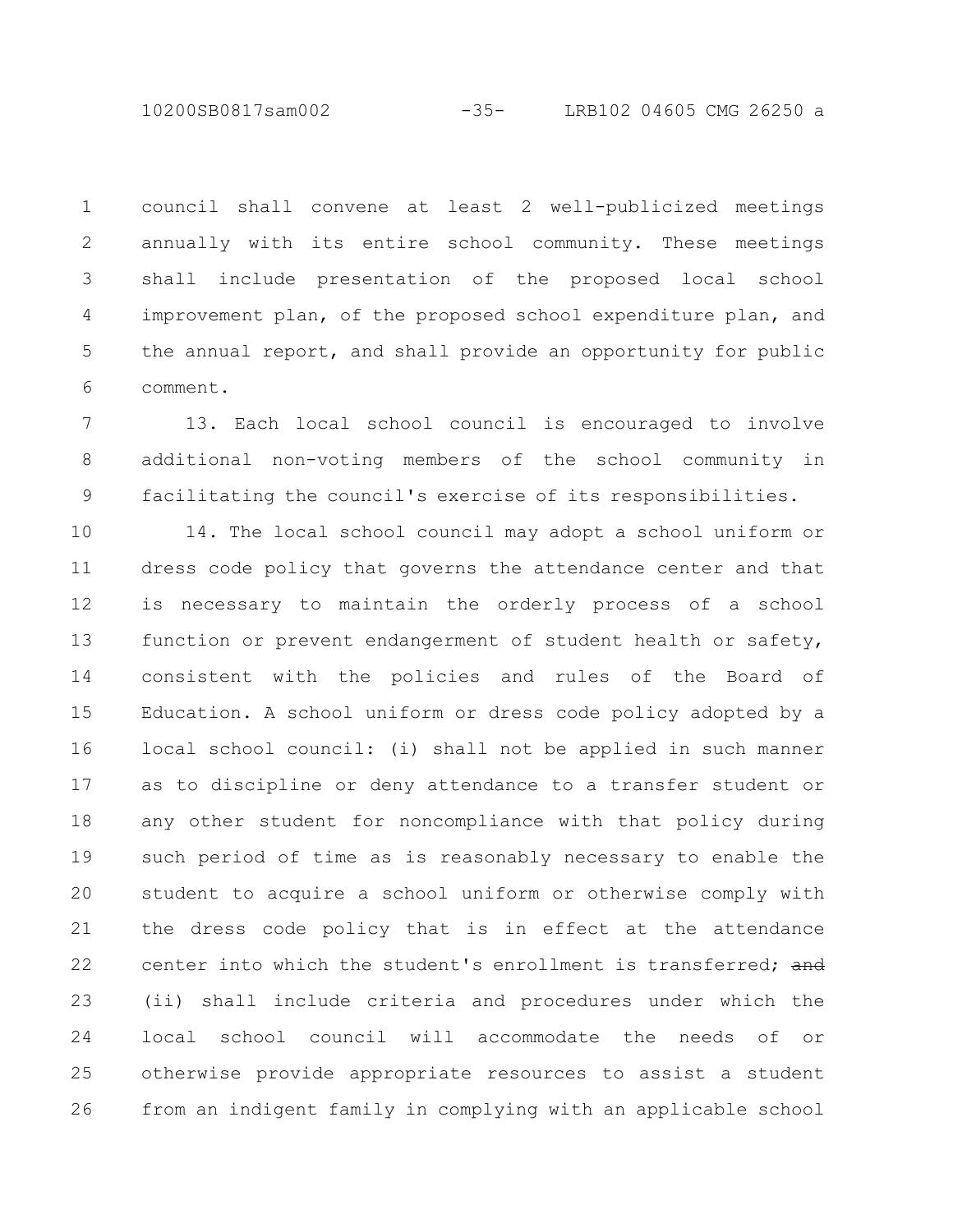10200SB0817sam002 -35- LRB102 04605 CMG 26250 a

council shall convene at least 2 well-publicized meetings annually with its entire school community. These meetings shall include presentation of the proposed local school improvement plan, of the proposed school expenditure plan, and the annual report, and shall provide an opportunity for public comment. 1 2 3 4 5 6

13. Each local school council is encouraged to involve additional non-voting members of the school community in facilitating the council's exercise of its responsibilities. 7 8 9

14. The local school council may adopt a school uniform or dress code policy that governs the attendance center and that is necessary to maintain the orderly process of a school function or prevent endangerment of student health or safety, consistent with the policies and rules of the Board of Education. A school uniform or dress code policy adopted by a local school council: (i) shall not be applied in such manner as to discipline or deny attendance to a transfer student or any other student for noncompliance with that policy during such period of time as is reasonably necessary to enable the student to acquire a school uniform or otherwise comply with the dress code policy that is in effect at the attendance center into which the student's enrollment is transferred; and (ii) shall include criteria and procedures under which the local school council will accommodate the needs of or otherwise provide appropriate resources to assist a student from an indigent family in complying with an applicable school 10 11 12 13 14 15 16 17 18 19 20 21 22 23 24 25 26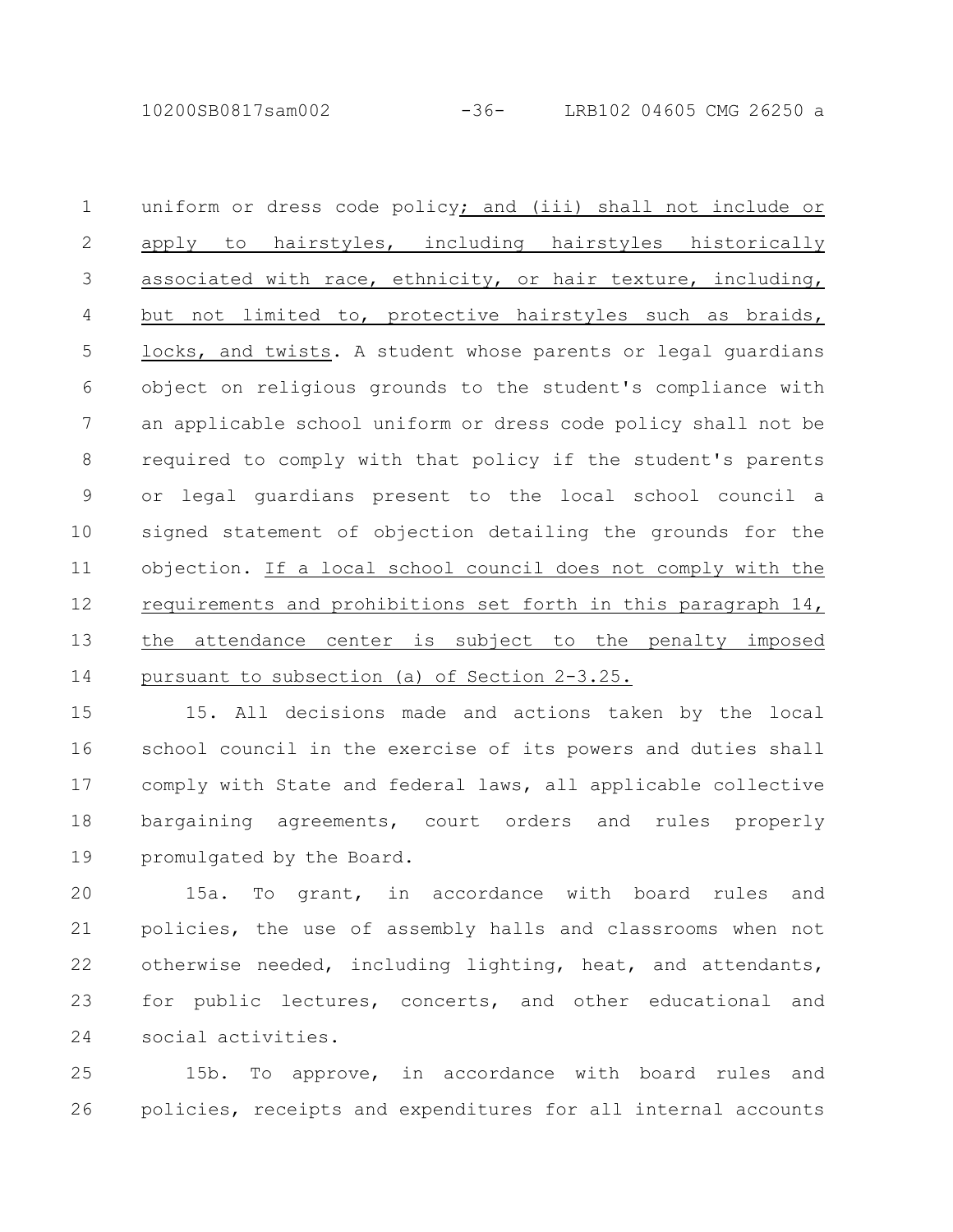10200SB0817sam002 -36- LRB102 04605 CMG 26250 a

uniform or dress code policy; and (iii) shall not include or apply to hairstyles, including hairstyles historically associated with race, ethnicity, or hair texture, including, but not limited to, protective hairstyles such as braids, locks, and twists. A student whose parents or legal guardians object on religious grounds to the student's compliance with an applicable school uniform or dress code policy shall not be required to comply with that policy if the student's parents or legal guardians present to the local school council a signed statement of objection detailing the grounds for the objection. If a local school council does not comply with the requirements and prohibitions set forth in this paragraph 14, the attendance center is subject to the penalty imposed pursuant to subsection (a) of Section 2-3.25. 1 2 3 4 5 6 7 8 9 10 11 12 13 14

15. All decisions made and actions taken by the local school council in the exercise of its powers and duties shall comply with State and federal laws, all applicable collective bargaining agreements, court orders and rules properly promulgated by the Board. 15 16 17 18 19

15a. To grant, in accordance with board rules and policies, the use of assembly halls and classrooms when not otherwise needed, including lighting, heat, and attendants, for public lectures, concerts, and other educational and social activities. 20 21 22 23 24

15b. To approve, in accordance with board rules and policies, receipts and expenditures for all internal accounts 25 26